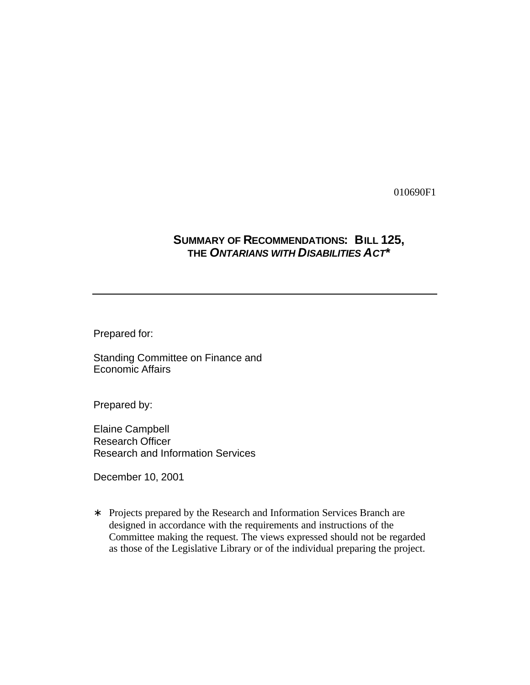010690F1

# **SUMMARY OF RECOMMENDATIONS: BILL 125, THE** *ONTARIANS WITH DISABILITIES ACT***\***

Prepared for:

Standing Committee on Finance and Economic Affairs

Prepared by:

Elaine Campbell Research Officer Research and Information Services

December 10, 2001

∗ Projects prepared by the Research and Information Services Branch are designed in accordance with the requirements and instructions of the Committee making the request. The views expressed should not be regarded as those of the Legislative Library or of the individual preparing the project.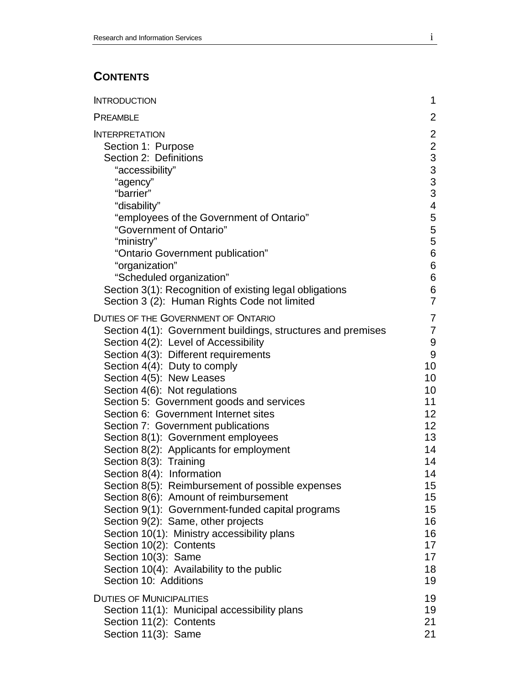# **CONTENTS**

| <b>INTRODUCTION</b>                                                                                                                                                                                                                                                                                                                                                                                                                                                                                                                                                                                                                                                                                                                                                                                                                                                                                                    | 1                                                                                                                                                                           |
|------------------------------------------------------------------------------------------------------------------------------------------------------------------------------------------------------------------------------------------------------------------------------------------------------------------------------------------------------------------------------------------------------------------------------------------------------------------------------------------------------------------------------------------------------------------------------------------------------------------------------------------------------------------------------------------------------------------------------------------------------------------------------------------------------------------------------------------------------------------------------------------------------------------------|-----------------------------------------------------------------------------------------------------------------------------------------------------------------------------|
| <b>PREAMBLE</b>                                                                                                                                                                                                                                                                                                                                                                                                                                                                                                                                                                                                                                                                                                                                                                                                                                                                                                        | $\overline{2}$                                                                                                                                                              |
| <b>INTERPRETATION</b><br>Section 1: Purpose<br>Section 2: Definitions<br>"accessibility"<br>"agency"<br>"barrier"<br>"disability"<br>"employees of the Government of Ontario"<br>"Government of Ontario"<br>"ministry"<br>"Ontario Government publication"<br>"organization"<br>"Scheduled organization"<br>Section 3(1): Recognition of existing legal obligations<br>Section 3 (2): Human Rights Code not limited                                                                                                                                                                                                                                                                                                                                                                                                                                                                                                    | $\overline{2}$<br>$\frac{2}{3}$<br>$\begin{array}{c} 3 \\ 3 \\ 3 \end{array}$<br>$\overline{\mathbf{4}}$<br>5<br>5<br>5<br>6<br>6<br>6<br>6<br>$\overline{7}$               |
| <b>DUTIES OF THE GOVERNMENT OF ONTARIO</b><br>Section 4(1): Government buildings, structures and premises<br>Section 4(2): Level of Accessibility<br>Section 4(3): Different requirements<br>Section 4(4): Duty to comply<br>Section 4(5): New Leases<br>Section 4(6): Not regulations<br>Section 5: Government goods and services<br>Section 6: Government Internet sites<br>Section 7: Government publications<br>Section 8(1): Government employees<br>Section 8(2): Applicants for employment<br>Section 8(3): Training<br>Section 8(4): Information<br>Section 8(5): Reimbursement of possible expenses<br>Section 8(6): Amount of reimbursement<br>Section 9(1): Government-funded capital programs<br>Section 9(2): Same, other projects<br>Section 10(1): Ministry accessibility plans<br>Section 10(2): Contents<br>Section 10(3): Same<br>Section 10(4): Availability to the public<br>Section 10: Additions | 7<br>$\overline{7}$<br>$\boldsymbol{9}$<br>9<br>10<br>10<br>10<br>11<br>12<br>12 <sub>2</sub><br>13<br>14<br>14<br>14<br>15<br>15<br>15<br>16<br>16<br>17<br>17<br>18<br>19 |
| <b>DUTIES OF MUNICIPALITIES</b><br>Section 11(1): Municipal accessibility plans<br>Section 11(2): Contents<br>Section 11(3): Same                                                                                                                                                                                                                                                                                                                                                                                                                                                                                                                                                                                                                                                                                                                                                                                      | 19<br>19<br>21<br>21                                                                                                                                                        |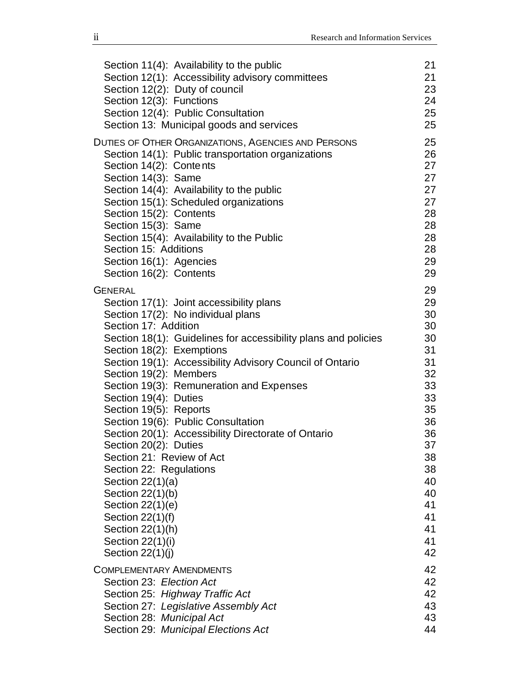| Section 11(4): Availability to the public                      | 21 |
|----------------------------------------------------------------|----|
| Section 12(1): Accessibility advisory committees               | 21 |
| Section 12(2): Duty of council                                 | 23 |
| Section 12(3): Functions                                       | 24 |
| Section 12(4): Public Consultation                             | 25 |
| Section 13: Municipal goods and services                       | 25 |
| <b>DUTIES OF OTHER ORGANIZATIONS, AGENCIES AND PERSONS</b>     | 25 |
| Section 14(1): Public transportation organizations             | 26 |
| Section 14(2): Contents                                        | 27 |
| Section 14(3): Same                                            | 27 |
| Section 14(4): Availability to the public                      | 27 |
| Section 15(1): Scheduled organizations                         | 27 |
| Section 15(2): Contents                                        | 28 |
| Section 15(3): Same                                            | 28 |
| Section 15(4): Availability to the Public                      | 28 |
| Section 15: Additions                                          | 28 |
| Section 16(1): Agencies                                        | 29 |
| Section 16(2): Contents                                        | 29 |
| <b>GENERAL</b>                                                 | 29 |
| Section 17(1): Joint accessibility plans                       | 29 |
| Section 17(2): No individual plans                             | 30 |
| Section 17: Addition                                           | 30 |
| Section 18(1): Guidelines for accessibility plans and policies | 30 |
| Section 18(2): Exemptions                                      | 31 |
| Section 19(1): Accessibility Advisory Council of Ontario       | 31 |
| Section 19(2): Members                                         | 32 |
| Section 19(3): Remuneration and Expenses                       | 33 |
| Section 19(4): Duties                                          | 33 |
| Section 19(5): Reports                                         | 35 |
| Section 19(6): Public Consultation                             | 36 |
| Section 20(1): Accessibility Directorate of Ontario            | 36 |
| Section 20(2): Duties                                          | 37 |
| Section 21: Review of Act                                      | 38 |
| Section 22: Regulations                                        | 38 |
| Section $22(1)(a)$                                             | 40 |
| Section 22(1)(b)                                               | 40 |
| Section $22(1)(e)$                                             | 41 |
| Section $22(1)(f)$                                             | 41 |
| Section $22(1)(h)$                                             | 41 |
| Section 22(1)(i)                                               | 41 |
| Section $22(1)(j)$                                             | 42 |
| <b>COMPLEMENTARY AMENDMENTS</b>                                | 42 |
| Section 23: Election Act                                       | 42 |
| Section 25: Highway Traffic Act                                | 42 |
| Section 27: Legislative Assembly Act                           | 43 |
| Section 28: Municipal Act                                      | 43 |
| Section 29: Municipal Elections Act                            | 44 |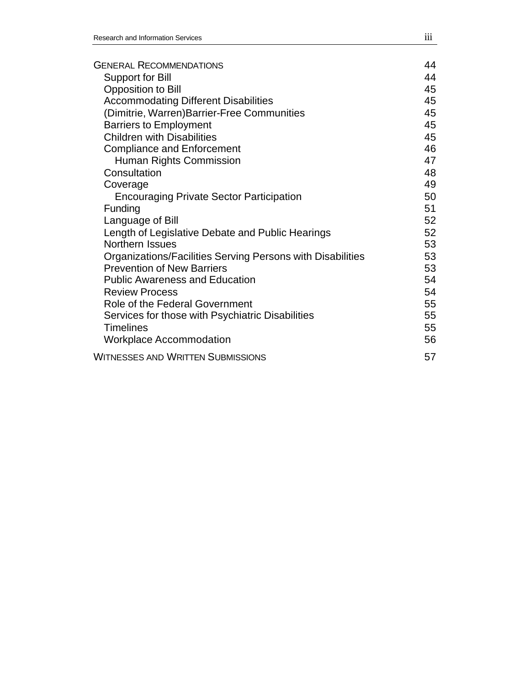| <b>GENERAL RECOMMENDATIONS</b>                             | 44 |
|------------------------------------------------------------|----|
| Support for Bill                                           | 44 |
| Opposition to Bill                                         | 45 |
| <b>Accommodating Different Disabilities</b>                | 45 |
| (Dimitrie, Warren)Barrier-Free Communities                 | 45 |
| <b>Barriers to Employment</b>                              | 45 |
| <b>Children with Disabilities</b>                          | 45 |
| <b>Compliance and Enforcement</b>                          | 46 |
| Human Rights Commission                                    | 47 |
| Consultation                                               | 48 |
| Coverage                                                   | 49 |
| <b>Encouraging Private Sector Participation</b>            | 50 |
| Funding                                                    | 51 |
| Language of Bill                                           | 52 |
| Length of Legislative Debate and Public Hearings           | 52 |
| Northern Issues                                            | 53 |
| Organizations/Facilities Serving Persons with Disabilities | 53 |
| <b>Prevention of New Barriers</b>                          | 53 |
| <b>Public Awareness and Education</b>                      | 54 |
| <b>Review Process</b>                                      | 54 |
| Role of the Federal Government                             | 55 |
| Services for those with Psychiatric Disabilities           | 55 |
| <b>Timelines</b>                                           | 55 |
| <b>Workplace Accommodation</b>                             | 56 |
| <b>WITNESSES AND WRITTEN SUBMISSIONS</b>                   | 57 |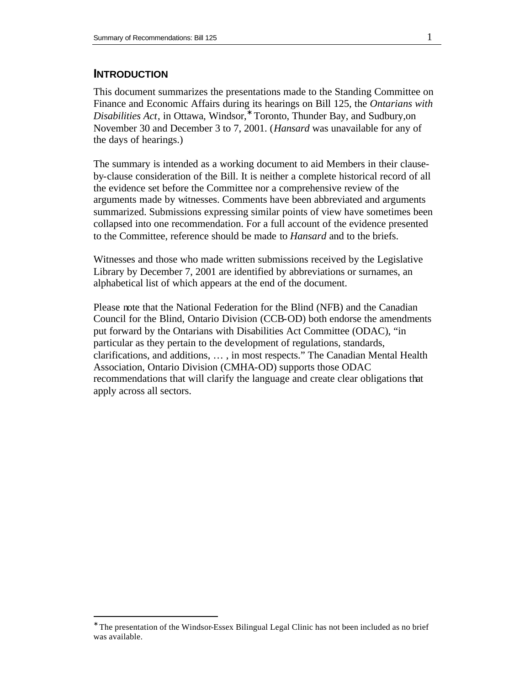# **INTRODUCTION**

 $\overline{a}$ 

This document summarizes the presentations made to the Standing Committee on Finance and Economic Affairs during its hearings on Bill 125, the *Ontarians with Disabilities Act*, in Ottawa, Windsor,<sup>∗</sup> Toronto, Thunder Bay, and Sudbury,on November 30 and December 3 to 7, 2001. (*Hansard* was unavailable for any of the days of hearings.)

The summary is intended as a working document to aid Members in their clauseby-clause consideration of the Bill. It is neither a complete historical record of all the evidence set before the Committee nor a comprehensive review of the arguments made by witnesses. Comments have been abbreviated and arguments summarized. Submissions expressing similar points of view have sometimes been collapsed into one recommendation. For a full account of the evidence presented to the Committee, reference should be made to *Hansard* and to the briefs.

Witnesses and those who made written submissions received by the Legislative Library by December 7, 2001 are identified by abbreviations or surnames, an alphabetical list of which appears at the end of the document.

Please note that the National Federation for the Blind (NFB) and the Canadian Council for the Blind, Ontario Division (CCB-OD) both endorse the amendments put forward by the Ontarians with Disabilities Act Committee (ODAC), "in particular as they pertain to the development of regulations, standards, clarifications, and additions, … , in most respects." The Canadian Mental Health Association, Ontario Division (CMHA-OD) supports those ODAC recommendations that will clarify the language and create clear obligations that apply across all sectors.

<sup>∗</sup> The presentation of the Windsor-Essex Bilingual Legal Clinic has not been included as no brief was available.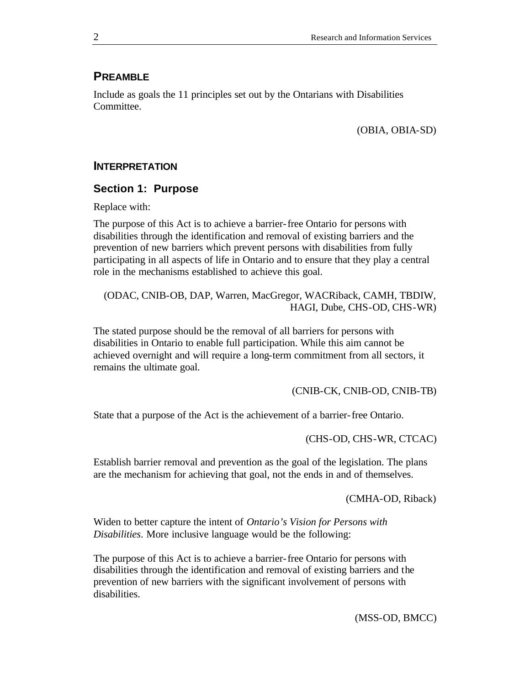# **PREAMBLE**

Include as goals the 11 principles set out by the Ontarians with Disabilities Committee.

(OBIA, OBIA-SD)

#### **INTERPRETATION**

#### **Section 1: Purpose**

Replace with:

The purpose of this Act is to achieve a barrier-free Ontario for persons with disabilities through the identification and removal of existing barriers and the prevention of new barriers which prevent persons with disabilities from fully participating in all aspects of life in Ontario and to ensure that they play a central role in the mechanisms established to achieve this goal.

(ODAC, CNIB-OB, DAP, Warren, MacGregor, WACRiback, CAMH, TBDIW, HAGI, Dube, CHS-OD, CHS-WR)

The stated purpose should be the removal of all barriers for persons with disabilities in Ontario to enable full participation. While this aim cannot be achieved overnight and will require a long-term commitment from all sectors, it remains the ultimate goal.

(CNIB-CK, CNIB-OD, CNIB-TB)

State that a purpose of the Act is the achievement of a barrier-free Ontario.

(CHS-OD, CHS-WR, CTCAC)

Establish barrier removal and prevention as the goal of the legislation. The plans are the mechanism for achieving that goal, not the ends in and of themselves.

(CMHA-OD, Riback)

Widen to better capture the intent of *Ontario's Vision for Persons with Disabilities*. More inclusive language would be the following:

The purpose of this Act is to achieve a barrier-free Ontario for persons with disabilities through the identification and removal of existing barriers and the prevention of new barriers with the significant involvement of persons with disabilities.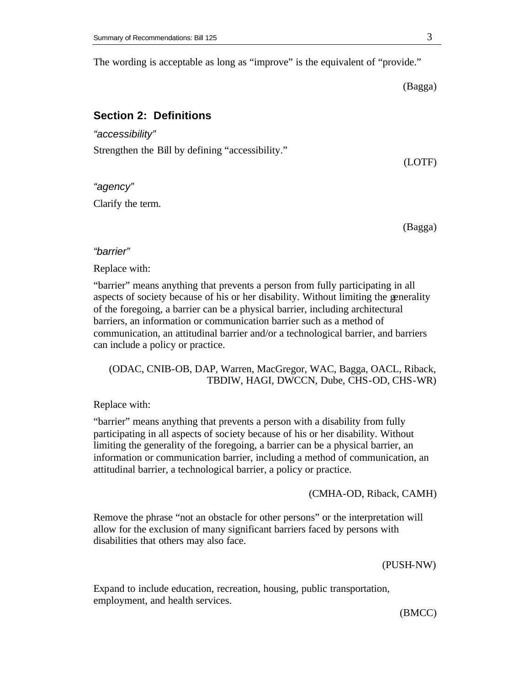The wording is acceptable as long as "improve" is the equivalent of "provide."

(Bagga)

## **Section 2: Definitions**

*"accessibility"*

Strengthen the Bill by defining "accessibility."

*"agency"*

Clarify the term.

(Bagga)

(LOTF)

#### *"barrier"*

Replace with:

"barrier" means anything that prevents a person from fully participating in all aspects of society because of his or her disability. Without limiting the generality of the foregoing, a barrier can be a physical barrier, including architectural barriers, an information or communication barrier such as a method of communication, an attitudinal barrier and/or a technological barrier, and barriers can include a policy or practice.

## (ODAC, CNIB-OB, DAP, Warren, MacGregor, WAC, Bagga, OACL, Riback, TBDIW, HAGI, DWCCN, Dube, CHS-OD, CHS-WR)

Replace with:

"barrier" means anything that prevents a person with a disability from fully participating in all aspects of society because of his or her disability. Without limiting the generality of the foregoing, a barrier can be a physical barrier, an information or communication barrier, including a method of communication, an attitudinal barrier, a technological barrier, a policy or practice.

(CMHA-OD, Riback, CAMH)

Remove the phrase "not an obstacle for other persons" or the interpretation will allow for the exclusion of many significant barriers faced by persons with disabilities that others may also face.

(PUSH-NW)

Expand to include education, recreation, housing, public transportation, employment, and health services.

(BMCC)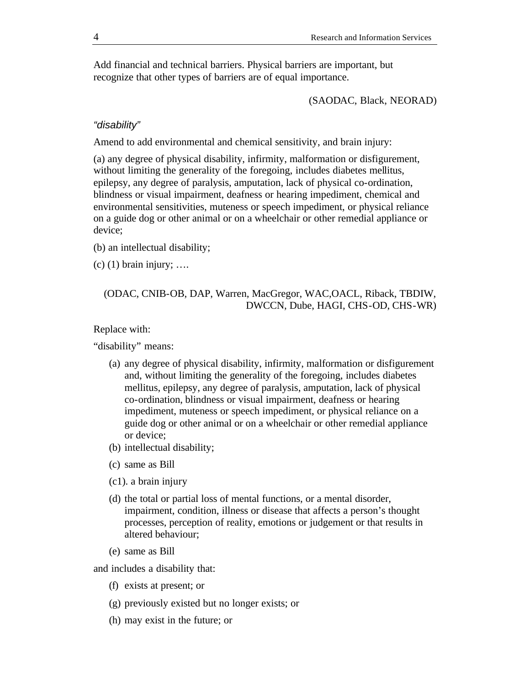Add financial and technical barriers. Physical barriers are important, but recognize that other types of barriers are of equal importance.

(SAODAC, Black, NEORAD)

#### *"disability"*

Amend to add environmental and chemical sensitivity, and brain injury:

(a) any degree of physical disability, infirmity, malformation or disfigurement, without limiting the generality of the foregoing, includes diabetes mellitus, epilepsy, any degree of paralysis, amputation, lack of physical co-ordination, blindness or visual impairment, deafness or hearing impediment, chemical and environmental sensitivities, muteness or speech impediment, or physical reliance on a guide dog or other animal or on a wheelchair or other remedial appliance or device;

- (b) an intellectual disability;
- $(c)$  (1) brain injury; ....

## (ODAC, CNIB-OB, DAP, Warren, MacGregor, WAC,OACL, Riback, TBDIW, DWCCN, Dube, HAGI, CHS-OD, CHS-WR)

#### Replace with:

"disability" means:

- (a) any degree of physical disability, infirmity, malformation or disfigurement and, without limiting the generality of the foregoing, includes diabetes mellitus, epilepsy, any degree of paralysis, amputation, lack of physical co-ordination, blindness or visual impairment, deafness or hearing impediment, muteness or speech impediment, or physical reliance on a guide dog or other animal or on a wheelchair or other remedial appliance or device;
- (b) intellectual disability;
- (c) same as Bill
- (c1). a brain injury
- (d) the total or partial loss of mental functions, or a mental disorder, impairment, condition, illness or disease that affects a person's thought processes, perception of reality, emotions or judgement or that results in altered behaviour;
- (e) same as Bill

and includes a disability that:

- (f) exists at present; or
- (g) previously existed but no longer exists; or
- (h) may exist in the future; or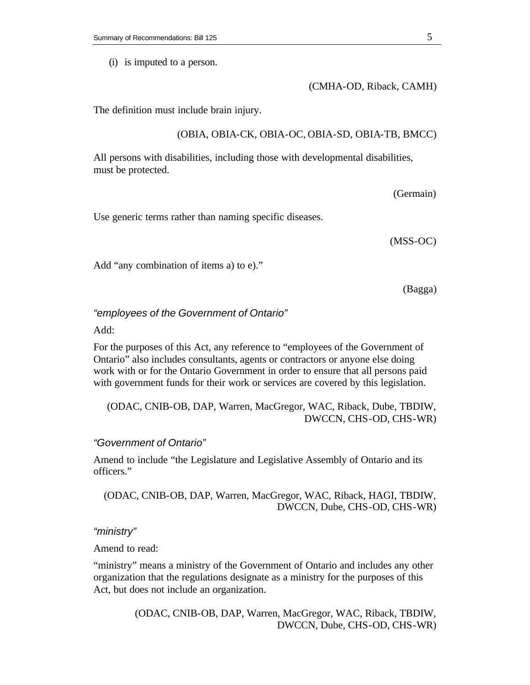(i) is imputed to a person.

(CMHA-OD, Riback, CAMH)

The definition must include brain injury.

#### (OBIA, OBIA-CK, OBIA-OC, OBIA-SD, OBIA-TB, BMCC)

All persons with disabilities, including those with developmental disabilities, must be protected.

(Germain)

Use generic terms rather than naming specific diseases.

(MSS-OC)

Add "any combination of items a) to e)."

(Bagga)

#### *"employees of the Government of Ontario"*

Add:

For the purposes of this Act, any reference to "employees of the Government of Ontario" also includes consultants, agents or contractors or anyone else doing work with or for the Ontario Government in order to ensure that all persons paid with government funds for their work or services are covered by this legislation.

(ODAC, CNIB-OB, DAP, Warren, MacGregor, WAC, Riback, Dube, TBDIW, DWCCN, CHS-OD, CHS-WR)

#### *"Government of Ontario"*

Amend to include "the Legislature and Legislative Assembly of Ontario and its officers."

(ODAC, CNIB-OB, DAP, Warren, MacGregor, WAC, Riback, HAGI, TBDIW, DWCCN, Dube, CHS-OD, CHS-WR)

## *"ministry"*

Amend to read:

"ministry" means a ministry of the Government of Ontario and includes any other organization that the regulations designate as a ministry for the purposes of this Act, but does not include an organization.

> (ODAC, CNIB-OB, DAP, Warren, MacGregor, WAC, Riback, TBDIW, DWCCN, Dube, CHS-OD, CHS-WR)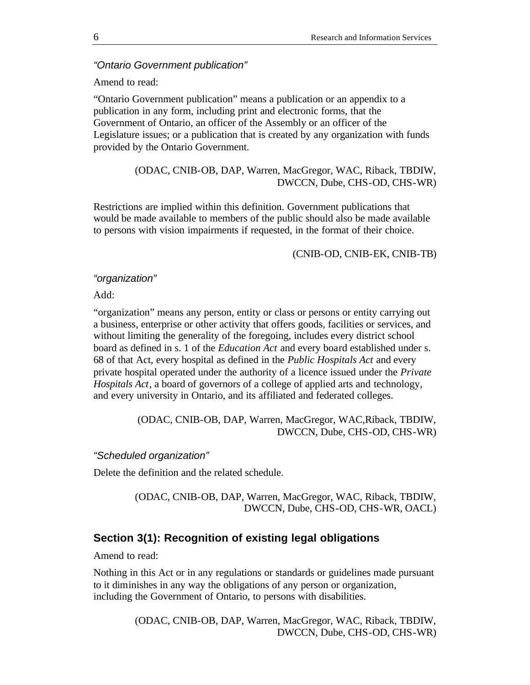#### *"Ontario Government publication"*

#### Amend to read:

"Ontario Government publication" means a publication or an appendix to a publication in any form, including print and electronic forms, that the Government of Ontario, an officer of the Assembly or an officer of the Legislature issues; or a publication that is created by any organization with funds provided by the Ontario Government.

# (ODAC, CNIB-OB, DAP, Warren, MacGregor, WAC, Riback, TBDIW, DWCCN, Dube, CHS-OD, CHS-WR)

Restrictions are implied within this definition. Government publications that would be made available to members of the public should also be made available to persons with vision impairments if requested, in the format of their choice.

(CNIB-OD, CNIB-EK, CNIB-TB)

#### *"organization"*

Add:

"organization" means any person, entity or class or persons or entity carrying out a business, enterprise or other activity that offers goods, facilities or services, and without limiting the generality of the foregoing, includes every district school board as defined in s. 1 of the *Education Act* and every board established under s. 68 of that Act, every hospital as defined in the *Public Hospitals Act* and every private hospital operated under the authority of a licence issued under the *Private Hospitals Act*, a board of governors of a college of applied arts and technology, and every university in Ontario, and its affiliated and federated colleges.

> (ODAC, CNIB-OB, DAP, Warren, MacGregor, WAC,Riback, TBDIW, DWCCN, Dube, CHS-OD, CHS-WR)

#### *"Scheduled organization"*

Delete the definition and the related schedule.

(ODAC, CNIB-OB, DAP, Warren, MacGregor, WAC, Riback, TBDIW, DWCCN, Dube, CHS-OD, CHS-WR, OACL)

## **Section 3(1): Recognition of existing legal obligations**

Amend to read:

Nothing in this Act or in any regulations or standards or guidelines made pursuant to it diminishes in any way the obligations of any person or organization, including the Government of Ontario, to persons with disabilities.

> (ODAC, CNIB-OB, DAP, Warren, MacGregor, WAC, Riback, TBDIW, DWCCN, Dube, CHS-OD, CHS-WR)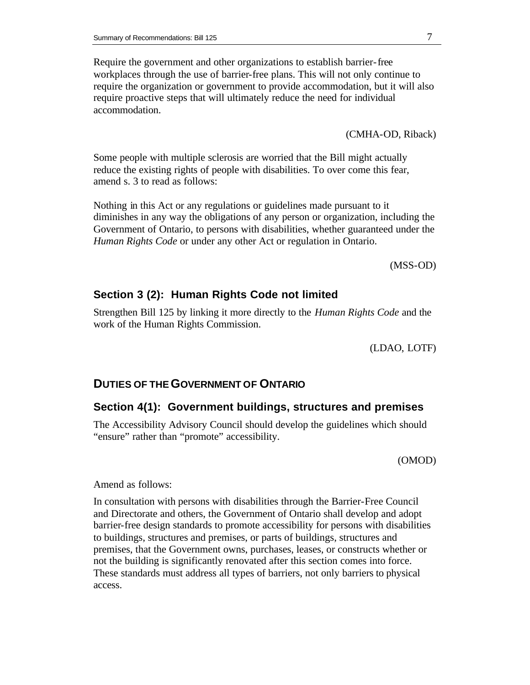Require the government and other organizations to establish barrier-free workplaces through the use of barrier-free plans. This will not only continue to require the organization or government to provide accommodation, but it will also require proactive steps that will ultimately reduce the need for individual accommodation.

(CMHA-OD, Riback)

Some people with multiple sclerosis are worried that the Bill might actually reduce the existing rights of people with disabilities. To over come this fear, amend s. 3 to read as follows:

Nothing in this Act or any regulations or guidelines made pursuant to it diminishes in any way the obligations of any person or organization, including the Government of Ontario, to persons with disabilities, whether guaranteed under the *Human Rights Code* or under any other Act or regulation in Ontario.

(MSS-OD)

## **Section 3 (2): Human Rights Code not limited**

Strengthen Bill 125 by linking it more directly to the *Human Rights Code* and the work of the Human Rights Commission.

(LDAO, LOTF)

#### **DUTIES OF THE GOVERNMENT OF ONTARIO**

#### **Section 4(1): Government buildings, structures and premises**

The Accessibility Advisory Council should develop the guidelines which should "ensure" rather than "promote" accessibility.

(OMOD)

Amend as follows:

In consultation with persons with disabilities through the Barrier-Free Council and Directorate and others, the Government of Ontario shall develop and adopt barrier-free design standards to promote accessibility for persons with disabilities to buildings, structures and premises, or parts of buildings, structures and premises, that the Government owns, purchases, leases, or constructs whether or not the building is significantly renovated after this section comes into force. These standards must address all types of barriers, not only barriers to physical access.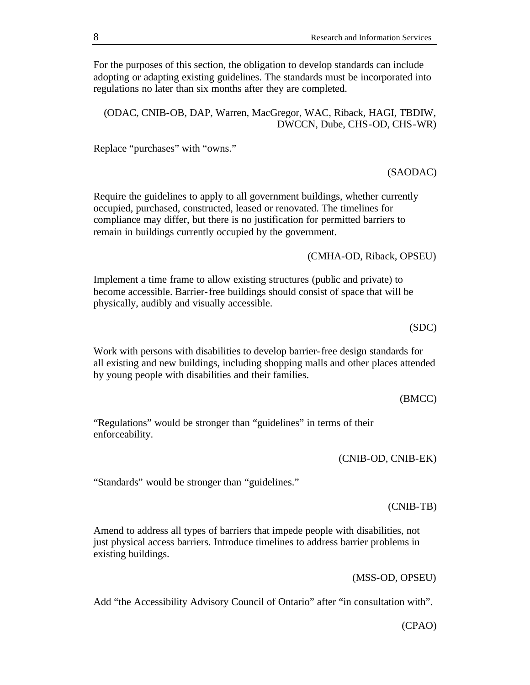For the purposes of this section, the obligation to develop standards can include adopting or adapting existing guidelines. The standards must be incorporated into regulations no later than six months after they are completed.

(ODAC, CNIB-OB, DAP, Warren, MacGregor, WAC, Riback, HAGI, TBDIW, DWCCN, Dube, CHS-OD, CHS-WR)

Replace "purchases" with "owns."

(SAODAC)

Require the guidelines to apply to all government buildings, whether currently occupied, purchased, constructed, leased or renovated. The timelines for compliance may differ, but there is no justification for permitted barriers to remain in buildings currently occupied by the government.

(CMHA-OD, Riback, OPSEU)

Implement a time frame to allow existing structures (public and private) to become accessible. Barrier-free buildings should consist of space that will be physically, audibly and visually accessible.

(SDC)

Work with persons with disabilities to develop barrier-free design standards for all existing and new buildings, including shopping malls and other places attended by young people with disabilities and their families.

(BMCC)

"Regulations" would be stronger than "guidelines" in terms of their enforceability.

(CNIB-OD, CNIB-EK)

"Standards" would be stronger than "guidelines."

(CNIB-TB)

Amend to address all types of barriers that impede people with disabilities, not just physical access barriers. Introduce timelines to address barrier problems in existing buildings.

(MSS-OD, OPSEU)

Add "the Accessibility Advisory Council of Ontario" after "in consultation with".

(CPAO)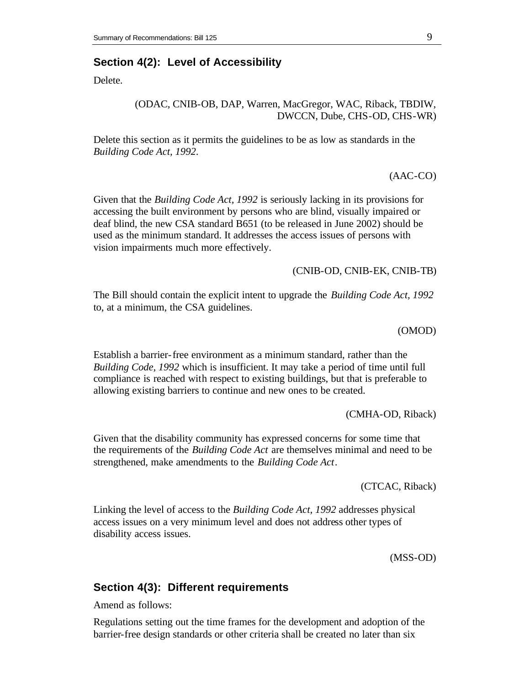## **Section 4(2): Level of Accessibility**

Delete.

#### (ODAC, CNIB-OB, DAP, Warren, MacGregor, WAC, Riback, TBDIW, DWCCN, Dube, CHS-OD, CHS-WR)

Delete this section as it permits the guidelines to be as low as standards in the *Building Code Act, 1992*.

(AAC-CO)

Given that the *Building Code Act, 1992* is seriously lacking in its provisions for accessing the built environment by persons who are blind, visually impaired or deaf blind, the new CSA standard B651 (to be released in June 2002) should be used as the minimum standard. It addresses the access issues of persons with vision impairments much more effectively.

(CNIB-OD, CNIB-EK, CNIB-TB)

The Bill should contain the explicit intent to upgrade the *Building Code Act, 1992* to, at a minimum, the CSA guidelines.

(OMOD)

Establish a barrier-free environment as a minimum standard, rather than the *Building Code, 1992* which is insufficient. It may take a period of time until full compliance is reached with respect to existing buildings, but that is preferable to allowing existing barriers to continue and new ones to be created.

(CMHA-OD, Riback)

Given that the disability community has expressed concerns for some time that the requirements of the *Building Code Act* are themselves minimal and need to be strengthened, make amendments to the *Building Code Act*.

(CTCAC, Riback)

Linking the level of access to the *Building Code Act, 1992* addresses physical access issues on a very minimum level and does not address other types of disability access issues.

(MSS-OD)

#### **Section 4(3): Different requirements**

Amend as follows:

Regulations setting out the time frames for the development and adoption of the barrier-free design standards or other criteria shall be created no later than six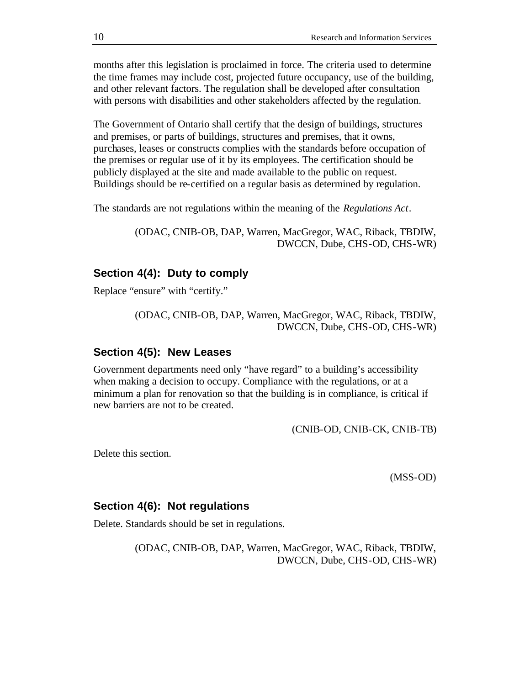months after this legislation is proclaimed in force. The criteria used to determine the time frames may include cost, projected future occupancy, use of the building, and other relevant factors. The regulation shall be developed after consultation with persons with disabilities and other stakeholders affected by the regulation.

The Government of Ontario shall certify that the design of buildings, structures and premises, or parts of buildings, structures and premises, that it owns, purchases, leases or constructs complies with the standards before occupation of the premises or regular use of it by its employees. The certification should be publicly displayed at the site and made available to the public on request. Buildings should be re-certified on a regular basis as determined by regulation.

The standards are not regulations within the meaning of the *Regulations Act*.

(ODAC, CNIB-OB, DAP, Warren, MacGregor, WAC, Riback, TBDIW, DWCCN, Dube, CHS-OD, CHS-WR)

# **Section 4(4): Duty to comply**

Replace "ensure" with "certify."

(ODAC, CNIB-OB, DAP, Warren, MacGregor, WAC, Riback, TBDIW, DWCCN, Dube, CHS-OD, CHS-WR)

#### **Section 4(5): New Leases**

Government departments need only "have regard" to a building's accessibility when making a decision to occupy. Compliance with the regulations, or at a minimum a plan for renovation so that the building is in compliance, is critical if new barriers are not to be created.

(CNIB-OD, CNIB-CK, CNIB-TB)

Delete this section.

(MSS-OD)

#### **Section 4(6): Not regulations**

Delete. Standards should be set in regulations.

(ODAC, CNIB-OB, DAP, Warren, MacGregor, WAC, Riback, TBDIW, DWCCN, Dube, CHS-OD, CHS-WR)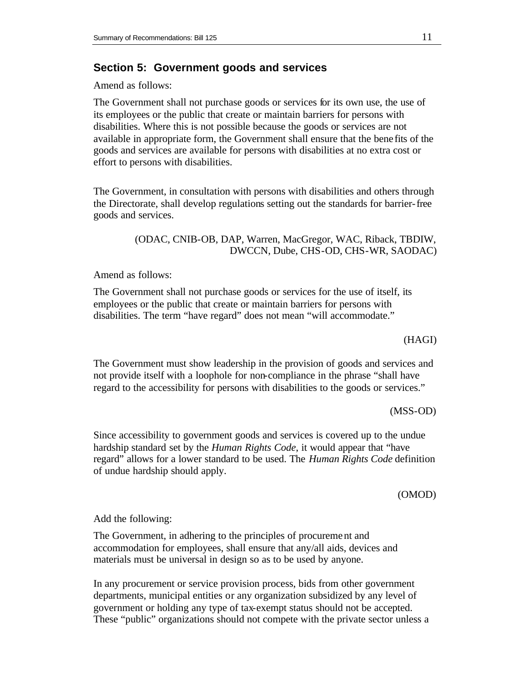## **Section 5: Government goods and services**

Amend as follows:

The Government shall not purchase goods or services for its own use, the use of its employees or the public that create or maintain barriers for persons with disabilities. Where this is not possible because the goods or services are not available in appropriate form, the Government shall ensure that the bene fits of the goods and services are available for persons with disabilities at no extra cost or effort to persons with disabilities.

The Government, in consultation with persons with disabilities and others through the Directorate, shall develop regulations setting out the standards for barrier-free goods and services.

> (ODAC, CNIB-OB, DAP, Warren, MacGregor, WAC, Riback, TBDIW, DWCCN, Dube, CHS-OD, CHS-WR, SAODAC)

Amend as follows:

The Government shall not purchase goods or services for the use of itself, its employees or the public that create or maintain barriers for persons with disabilities. The term "have regard" does not mean "will accommodate."

#### (HAGI)

The Government must show leadership in the provision of goods and services and not provide itself with a loophole for non-compliance in the phrase "shall have regard to the accessibility for persons with disabilities to the goods or services."

(MSS-OD)

Since accessibility to government goods and services is covered up to the undue hardship standard set by the *Human Rights Code*, it would appear that "have regard" allows for a lower standard to be used. The *Human Rights Code* definition of undue hardship should apply.

(OMOD)

Add the following:

The Government, in adhering to the principles of procurement and accommodation for employees, shall ensure that any/all aids, devices and materials must be universal in design so as to be used by anyone.

In any procurement or service provision process, bids from other government departments, municipal entities or any organization subsidized by any level of government or holding any type of tax-exempt status should not be accepted. These "public" organizations should not compete with the private sector unless a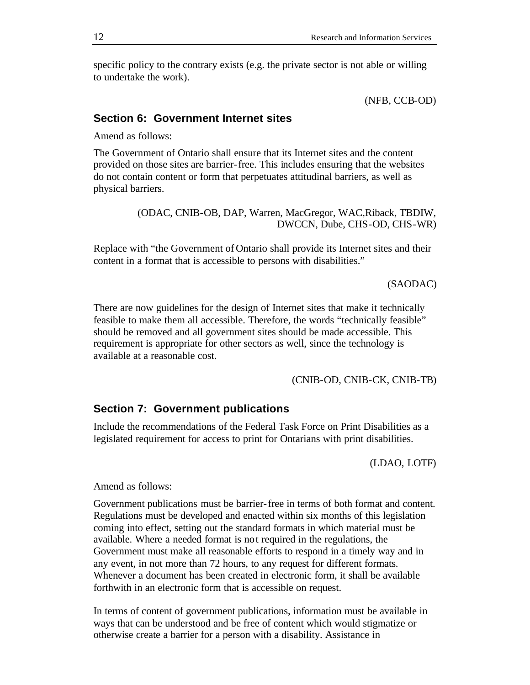specific policy to the contrary exists (e.g. the private sector is not able or willing to undertake the work).

(NFB, CCB-OD)

# **Section 6: Government Internet sites**

Amend as follows:

The Government of Ontario shall ensure that its Internet sites and the content provided on those sites are barrier-free. This includes ensuring that the websites do not contain content or form that perpetuates attitudinal barriers, as well as physical barriers.

> (ODAC, CNIB-OB, DAP, Warren, MacGregor, WAC,Riback, TBDIW, DWCCN, Dube, CHS-OD, CHS-WR)

Replace with "the Government of Ontario shall provide its Internet sites and their content in a format that is accessible to persons with disabilities."

(SAODAC)

There are now guidelines for the design of Internet sites that make it technically feasible to make them all accessible. Therefore, the words "technically feasible" should be removed and all government sites should be made accessible. This requirement is appropriate for other sectors as well, since the technology is available at a reasonable cost.

(CNIB-OD, CNIB-CK, CNIB-TB)

## **Section 7: Government publications**

Include the recommendations of the Federal Task Force on Print Disabilities as a legislated requirement for access to print for Ontarians with print disabilities.

(LDAO, LOTF)

Amend as follows:

Government publications must be barrier-free in terms of both format and content. Regulations must be developed and enacted within six months of this legislation coming into effect, setting out the standard formats in which material must be available. Where a needed format is not required in the regulations, the Government must make all reasonable efforts to respond in a timely way and in any event, in not more than 72 hours, to any request for different formats. Whenever a document has been created in electronic form, it shall be available forthwith in an electronic form that is accessible on request.

In terms of content of government publications, information must be available in ways that can be understood and be free of content which would stigmatize or otherwise create a barrier for a person with a disability. Assistance in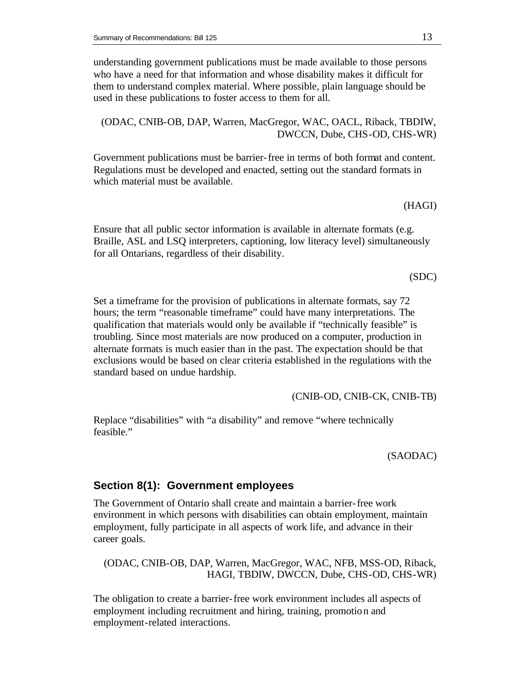understanding government publications must be made available to those persons who have a need for that information and whose disability makes it difficult for them to understand complex material. Where possible, plain language should be used in these publications to foster access to them for all.

(ODAC, CNIB-OB, DAP, Warren, MacGregor, WAC, OACL, Riback, TBDIW, DWCCN, Dube, CHS-OD, CHS-WR)

Government publications must be barrier-free in terms of both format and content. Regulations must be developed and enacted, setting out the standard formats in which material must be available.

(HAGI)

Ensure that all public sector information is available in alternate formats (e.g. Braille, ASL and LSQ interpreters, captioning, low literacy level) simultaneously for all Ontarians, regardless of their disability.

(SDC)

Set a timeframe for the provision of publications in alternate formats, say 72 hours; the term "reasonable timeframe" could have many interpretations. The qualification that materials would only be available if "technically feasible" is troubling. Since most materials are now produced on a computer, production in alternate formats is much easier than in the past. The expectation should be that exclusions would be based on clear criteria established in the regulations with the standard based on undue hardship.

(CNIB-OD, CNIB-CK, CNIB-TB)

Replace "disabilities" with "a disability" and remove "where technically feasible."

(SAODAC)

# **Section 8(1): Government employees**

The Government of Ontario shall create and maintain a barrier-free work environment in which persons with disabilities can obtain employment, maintain employment, fully participate in all aspects of work life, and advance in their career goals.

(ODAC, CNIB-OB, DAP, Warren, MacGregor, WAC, NFB, MSS-OD, Riback, HAGI, TBDIW, DWCCN, Dube, CHS-OD, CHS-WR)

The obligation to create a barrier-free work environment includes all aspects of employment including recruitment and hiring, training, promotion and employment-related interactions.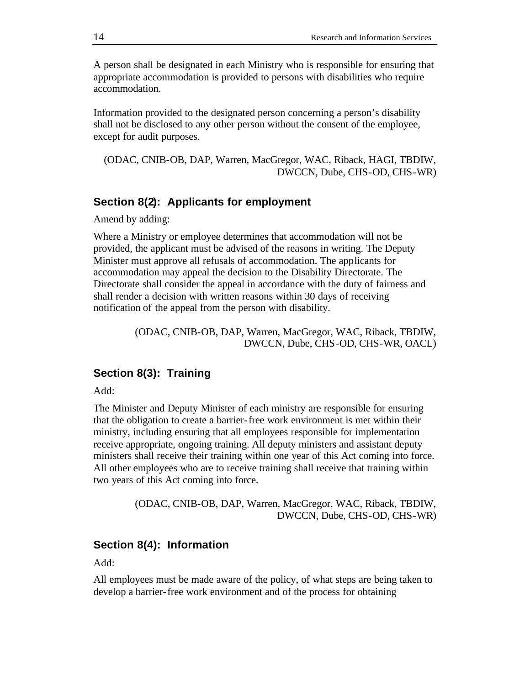A person shall be designated in each Ministry who is responsible for ensuring that appropriate accommodation is provided to persons with disabilities who require accommodation.

Information provided to the designated person concerning a person's disability shall not be disclosed to any other person without the consent of the employee, except for audit purposes.

(ODAC, CNIB-OB, DAP, Warren, MacGregor, WAC, Riback, HAGI, TBDIW, DWCCN, Dube, CHS-OD, CHS-WR)

#### **Section 8(2): Applicants for employment**

Amend by adding:

Where a Ministry or employee determines that accommodation will not be provided, the applicant must be advised of the reasons in writing. The Deputy Minister must approve all refusals of accommodation. The applicants for accommodation may appeal the decision to the Disability Directorate. The Directorate shall consider the appeal in accordance with the duty of fairness and shall render a decision with written reasons within 30 days of receiving notification of the appeal from the person with disability.

> (ODAC, CNIB-OB, DAP, Warren, MacGregor, WAC, Riback, TBDIW, DWCCN, Dube, CHS-OD, CHS-WR, OACL)

## **Section 8(3): Training**

Add:

The Minister and Deputy Minister of each ministry are responsible for ensuring that the obligation to create a barrier-free work environment is met within their ministry, including ensuring that all employees responsible for implementation receive appropriate, ongoing training. All deputy ministers and assistant deputy ministers shall receive their training within one year of this Act coming into force. All other employees who are to receive training shall receive that training within two years of this Act coming into force.

> (ODAC, CNIB-OB, DAP, Warren, MacGregor, WAC, Riback, TBDIW, DWCCN, Dube, CHS-OD, CHS-WR)

#### **Section 8(4): Information**

Add:

All employees must be made aware of the policy, of what steps are being taken to develop a barrier-free work environment and of the process for obtaining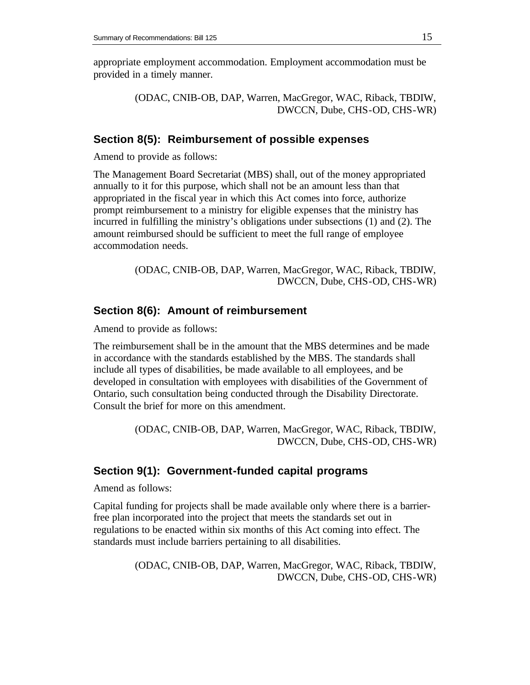appropriate employment accommodation. Employment accommodation must be provided in a timely manner.

> (ODAC, CNIB-OB, DAP, Warren, MacGregor, WAC, Riback, TBDIW, DWCCN, Dube, CHS-OD, CHS-WR)

## **Section 8(5): Reimbursement of possible expenses**

Amend to provide as follows:

The Management Board Secretariat (MBS) shall, out of the money appropriated annually to it for this purpose, which shall not be an amount less than that appropriated in the fiscal year in which this Act comes into force, authorize prompt reimbursement to a ministry for eligible expenses that the ministry has incurred in fulfilling the ministry's obligations under subsections (1) and (2). The amount reimbursed should be sufficient to meet the full range of employee accommodation needs.

> (ODAC, CNIB-OB, DAP, Warren, MacGregor, WAC, Riback, TBDIW, DWCCN, Dube, CHS-OD, CHS-WR)

# **Section 8(6): Amount of reimbursement**

Amend to provide as follows:

The reimbursement shall be in the amount that the MBS determines and be made in accordance with the standards established by the MBS. The standards shall include all types of disabilities, be made available to all employees, and be developed in consultation with employees with disabilities of the Government of Ontario, such consultation being conducted through the Disability Directorate. Consult the brief for more on this amendment.

> (ODAC, CNIB-OB, DAP, Warren, MacGregor, WAC, Riback, TBDIW, DWCCN, Dube, CHS-OD, CHS-WR)

## **Section 9(1): Government-funded capital programs**

Amend as follows:

Capital funding for projects shall be made available only where there is a barrierfree plan incorporated into the project that meets the standards set out in regulations to be enacted within six months of this Act coming into effect. The standards must include barriers pertaining to all disabilities.

> (ODAC, CNIB-OB, DAP, Warren, MacGregor, WAC, Riback, TBDIW, DWCCN, Dube, CHS-OD, CHS-WR)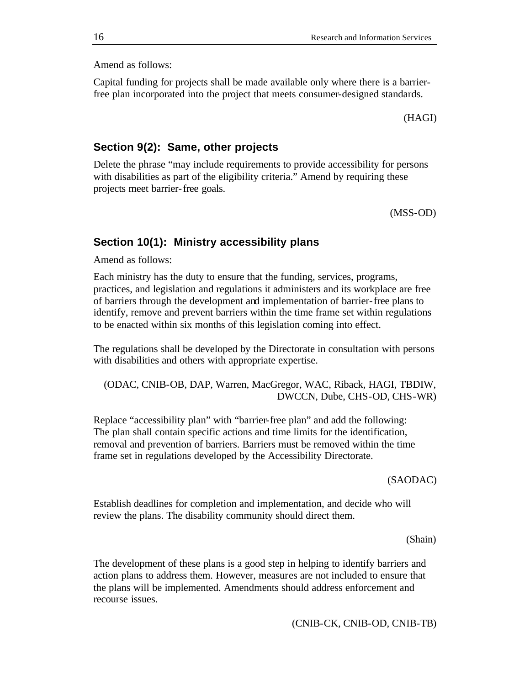Amend as follows:

Capital funding for projects shall be made available only where there is a barrierfree plan incorporated into the project that meets consumer-designed standards.

(HAGI)

#### **Section 9(2): Same, other projects**

Delete the phrase "may include requirements to provide accessibility for persons with disabilities as part of the eligibility criteria." Amend by requiring these projects meet barrier-free goals.

(MSS-OD)

## **Section 10(1): Ministry accessibility plans**

Amend as follows:

Each ministry has the duty to ensure that the funding, services, programs, practices, and legislation and regulations it administers and its workplace are free of barriers through the development and implementation of barrier-free plans to identify, remove and prevent barriers within the time frame set within regulations to be enacted within six months of this legislation coming into effect.

The regulations shall be developed by the Directorate in consultation with persons with disabilities and others with appropriate expertise.

(ODAC, CNIB-OB, DAP, Warren, MacGregor, WAC, Riback, HAGI, TBDIW, DWCCN, Dube, CHS-OD, CHS-WR)

Replace "accessibility plan" with "barrier-free plan" and add the following: The plan shall contain specific actions and time limits for the identification, removal and prevention of barriers. Barriers must be removed within the time frame set in regulations developed by the Accessibility Directorate.

#### (SAODAC)

Establish deadlines for completion and implementation, and decide who will review the plans. The disability community should direct them.

#### (Shain)

The development of these plans is a good step in helping to identify barriers and action plans to address them. However, measures are not included to ensure that the plans will be implemented. Amendments should address enforcement and recourse issues.

(CNIB-CK, CNIB-OD, CNIB-TB)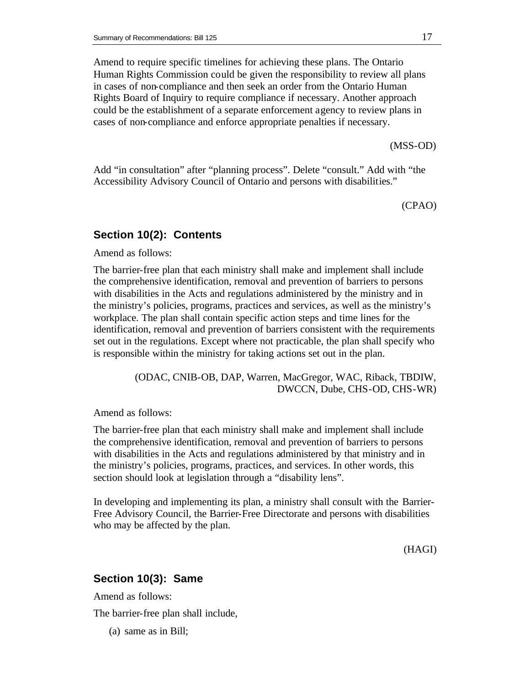Amend to require specific timelines for achieving these plans. The Ontario Human Rights Commission could be given the responsibility to review all plans in cases of non-compliance and then seek an order from the Ontario Human Rights Board of Inquiry to require compliance if necessary. Another approach could be the establishment of a separate enforcement agency to review plans in cases of non-compliance and enforce appropriate penalties if necessary.

(MSS-OD)

Add "in consultation" after "planning process". Delete "consult." Add with "the Accessibility Advisory Council of Ontario and persons with disabilities."

(CPAO)

# **Section 10(2): Contents**

Amend as follows:

The barrier-free plan that each ministry shall make and implement shall include the comprehensive identification, removal and prevention of barriers to persons with disabilities in the Acts and regulations administered by the ministry and in the ministry's policies, programs, practices and services, as well as the ministry's workplace. The plan shall contain specific action steps and time lines for the identification, removal and prevention of barriers consistent with the requirements set out in the regulations. Except where not practicable, the plan shall specify who is responsible within the ministry for taking actions set out in the plan.

> (ODAC, CNIB-OB, DAP, Warren, MacGregor, WAC, Riback, TBDIW, DWCCN, Dube, CHS-OD, CHS-WR)

Amend as follows:

The barrier-free plan that each ministry shall make and implement shall include the comprehensive identification, removal and prevention of barriers to persons with disabilities in the Acts and regulations administered by that ministry and in the ministry's policies, programs, practices, and services. In other words, this section should look at legislation through a "disability lens".

In developing and implementing its plan, a ministry shall consult with the Barrier-Free Advisory Council, the Barrier-Free Directorate and persons with disabilities who may be affected by the plan.

(HAGI)

# **Section 10(3): Same**

Amend as follows:

The barrier-free plan shall include,

(a) same as in Bill;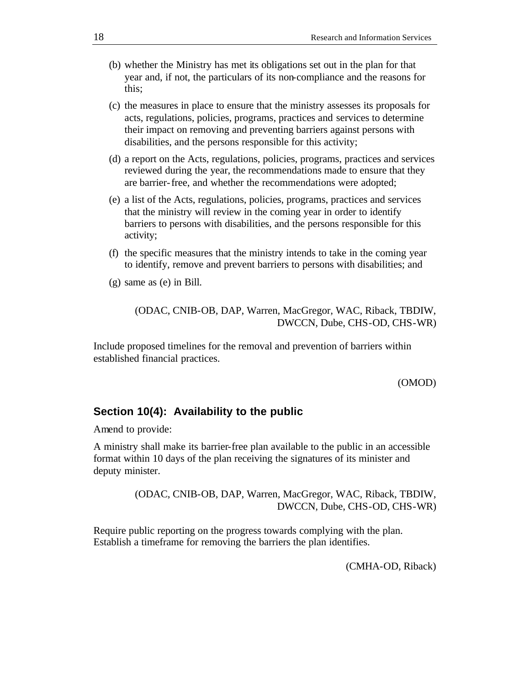- (b) whether the Ministry has met its obligations set out in the plan for that year and, if not, the particulars of its non-compliance and the reasons for this;
- (c) the measures in place to ensure that the ministry assesses its proposals for acts, regulations, policies, programs, practices and services to determine their impact on removing and preventing barriers against persons with disabilities, and the persons responsible for this activity;
- (d) a report on the Acts, regulations, policies, programs, practices and services reviewed during the year, the recommendations made to ensure that they are barrier-free, and whether the recommendations were adopted;
- (e) a list of the Acts, regulations, policies, programs, practices and services that the ministry will review in the coming year in order to identify barriers to persons with disabilities, and the persons responsible for this activity;
- (f) the specific measures that the ministry intends to take in the coming year to identify, remove and prevent barriers to persons with disabilities; and
- (g) same as (e) in Bill.

(ODAC, CNIB-OB, DAP, Warren, MacGregor, WAC, Riback, TBDIW, DWCCN, Dube, CHS-OD, CHS-WR)

Include proposed timelines for the removal and prevention of barriers within established financial practices.

#### (OMOD)

#### **Section 10(4): Availability to the public**

Amend to provide:

A ministry shall make its barrier-free plan available to the public in an accessible format within 10 days of the plan receiving the signatures of its minister and deputy minister.

> (ODAC, CNIB-OB, DAP, Warren, MacGregor, WAC, Riback, TBDIW, DWCCN, Dube, CHS-OD, CHS-WR)

Require public reporting on the progress towards complying with the plan. Establish a timeframe for removing the barriers the plan identifies.

(CMHA-OD, Riback)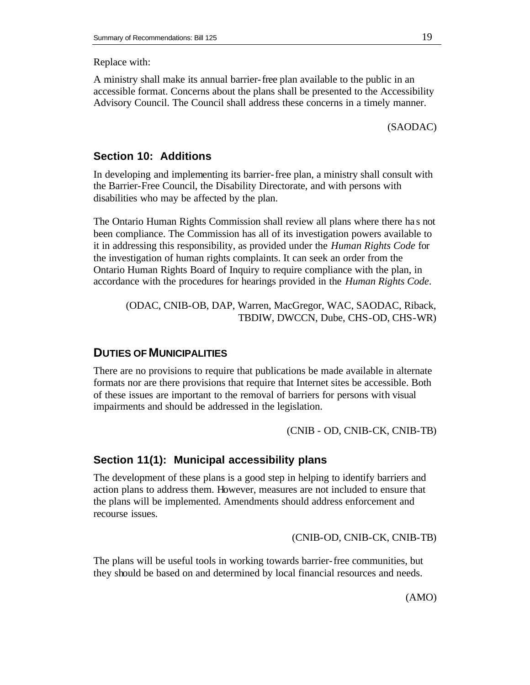Replace with:

A ministry shall make its annual barrier-free plan available to the public in an accessible format. Concerns about the plans shall be presented to the Accessibility Advisory Council. The Council shall address these concerns in a timely manner.

(SAODAC)

## **Section 10: Additions**

In developing and implementing its barrier-free plan, a ministry shall consult with the Barrier-Free Council, the Disability Directorate, and with persons with disabilities who may be affected by the plan.

The Ontario Human Rights Commission shall review all plans where there ha s not been compliance. The Commission has all of its investigation powers available to it in addressing this responsibility, as provided under the *Human Rights Code* for the investigation of human rights complaints. It can seek an order from the Ontario Human Rights Board of Inquiry to require compliance with the plan, in accordance with the procedures for hearings provided in the *Human Rights Code*.

(ODAC, CNIB-OB, DAP, Warren, MacGregor, WAC, SAODAC, Riback, TBDIW, DWCCN, Dube, CHS-OD, CHS-WR)

# **DUTIES OF MUNICIPALITIES**

There are no provisions to require that publications be made available in alternate formats nor are there provisions that require that Internet sites be accessible. Both of these issues are important to the removal of barriers for persons with visual impairments and should be addressed in the legislation.

(CNIB - OD, CNIB-CK, CNIB-TB)

#### **Section 11(1): Municipal accessibility plans**

The development of these plans is a good step in helping to identify barriers and action plans to address them. However, measures are not included to ensure that the plans will be implemented. Amendments should address enforcement and recourse issues.

(CNIB-OD, CNIB-CK, CNIB-TB)

The plans will be useful tools in working towards barrier-free communities, but they should be based on and determined by local financial resources and needs.

(AMO)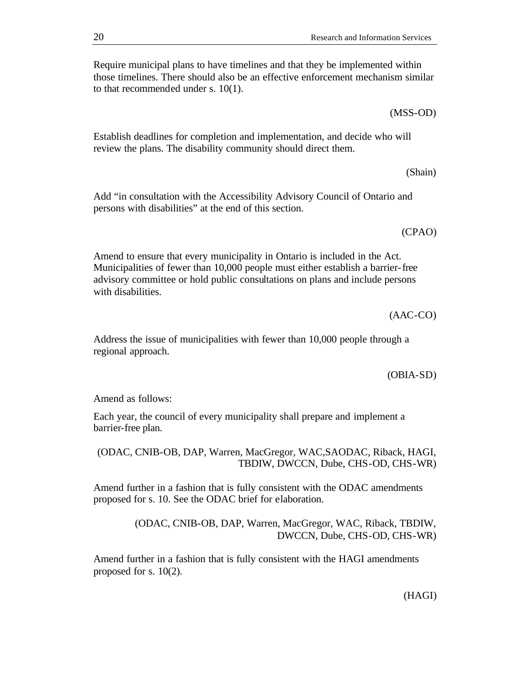Require municipal plans to have timelines and that they be implemented within those timelines. There should also be an effective enforcement mechanism similar to that recommended under s. 10(1).

Establish deadlines for completion and implementation, and decide who will review the plans. The disability community should direct them.

Add "in consultation with the Accessibility Advisory Council of Ontario and persons with disabilities" at the end of this section.

Amend to ensure that every municipality in Ontario is included in the Act. Municipalities of fewer than 10,000 people must either establish a barrier-free advisory committee or hold public consultations on plans and include persons with disabilities.

(AAC-CO)

Address the issue of municipalities with fewer than 10,000 people through a regional approach.

(OBIA-SD)

Amend as follows:

Each year, the council of every municipality shall prepare and implement a barrier-free plan.

(ODAC, CNIB-OB, DAP, Warren, MacGregor, WAC,SAODAC, Riback, HAGI, TBDIW, DWCCN, Dube, CHS-OD, CHS-WR)

Amend further in a fashion that is fully consistent with the ODAC amendments proposed for s. 10. See the ODAC brief for elaboration.

> (ODAC, CNIB-OB, DAP, Warren, MacGregor, WAC, Riback, TBDIW, DWCCN, Dube, CHS-OD, CHS-WR)

Amend further in a fashion that is fully consistent with the HAGI amendments proposed for s. 10(2).

(Shain)

(MSS-OD)

(CPAO)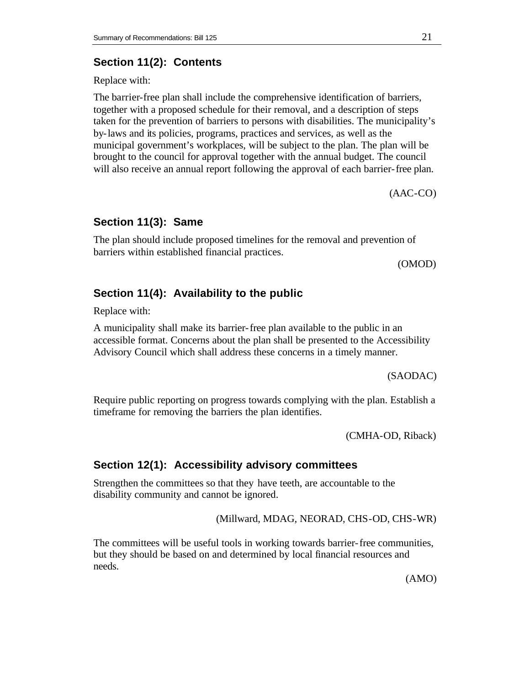# **Section 11(2): Contents**

Replace with:

The barrier-free plan shall include the comprehensive identification of barriers, together with a proposed schedule for their removal, and a description of steps taken for the prevention of barriers to persons with disabilities. The municipality's by-laws and its policies, programs, practices and services, as well as the municipal government's workplaces, will be subject to the plan. The plan will be brought to the council for approval together with the annual budget. The council will also receive an annual report following the approval of each barrier-free plan.

(AAC-CO)

#### **Section 11(3): Same**

The plan should include proposed timelines for the removal and prevention of barriers within established financial practices.

(OMOD)

#### **Section 11(4): Availability to the public**

Replace with:

A municipality shall make its barrier-free plan available to the public in an accessible format. Concerns about the plan shall be presented to the Accessibility Advisory Council which shall address these concerns in a timely manner.

(SAODAC)

Require public reporting on progress towards complying with the plan. Establish a timeframe for removing the barriers the plan identifies.

(CMHA-OD, Riback)

#### **Section 12(1): Accessibility advisory committees**

Strengthen the committees so that they have teeth, are accountable to the disability community and cannot be ignored.

(Millward, MDAG, NEORAD, CHS-OD, CHS-WR)

The committees will be useful tools in working towards barrier-free communities, but they should be based on and determined by local financial resources and needs.

(AMO)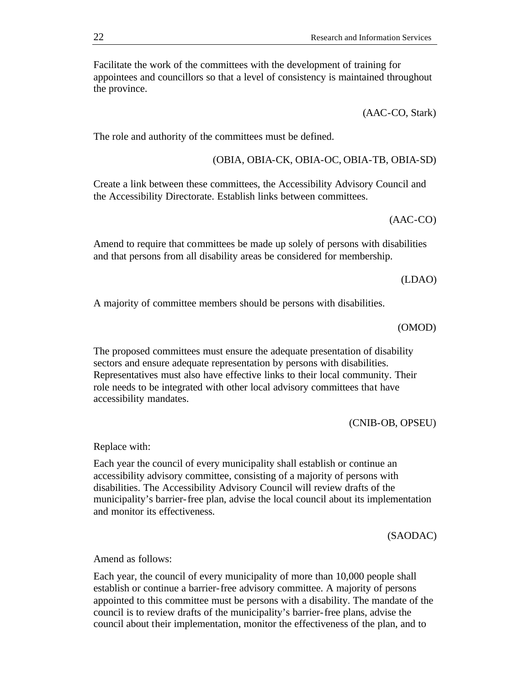Facilitate the work of the committees with the development of training for appointees and councillors so that a level of consistency is maintained throughout the province.

(AAC-CO, Stark)

The role and authority of the committees must be defined.

(OBIA, OBIA-CK, OBIA-OC, OBIA-TB, OBIA-SD)

Create a link between these committees, the Accessibility Advisory Council and the Accessibility Directorate. Establish links between committees.

(AAC-CO)

Amend to require that committees be made up solely of persons with disabilities and that persons from all disability areas be considered for membership.

(LDAO)

A majority of committee members should be persons with disabilities.

(OMOD)

The proposed committees must ensure the adequate presentation of disability sectors and ensure adequate representation by persons with disabilities. Representatives must also have effective links to their local community. Their role needs to be integrated with other local advisory committees that have accessibility mandates.

(CNIB-OB, OPSEU)

Replace with:

Each year the council of every municipality shall establish or continue an accessibility advisory committee, consisting of a majority of persons with disabilities. The Accessibility Advisory Council will review drafts of the municipality's barrier-free plan, advise the local council about its implementation and monitor its effectiveness.

(SAODAC)

Amend as follows:

Each year, the council of every municipality of more than 10,000 people shall establish or continue a barrier-free advisory committee. A majority of persons appointed to this committee must be persons with a disability. The mandate of the council is to review drafts of the municipality's barrier-free plans, advise the council about their implementation, monitor the effectiveness of the plan, and to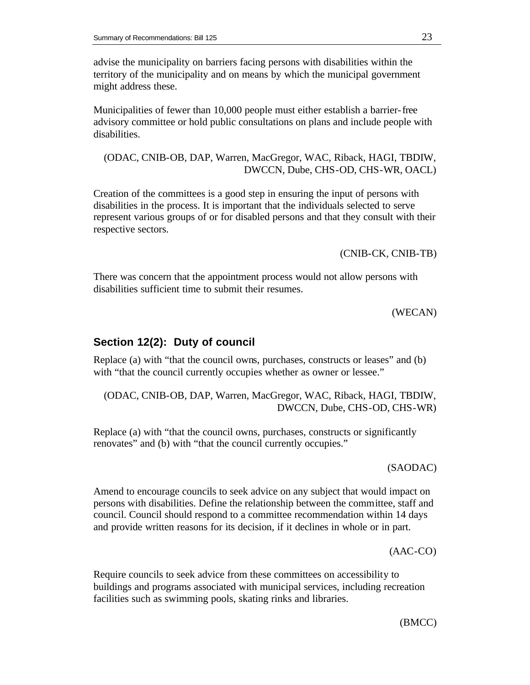advise the municipality on barriers facing persons with disabilities within the territory of the municipality and on means by which the municipal government might address these.

Municipalities of fewer than 10,000 people must either establish a barrier-free advisory committee or hold public consultations on plans and include people with disabilities.

(ODAC, CNIB-OB, DAP, Warren, MacGregor, WAC, Riback, HAGI, TBDIW, DWCCN, Dube, CHS-OD, CHS-WR, OACL)

Creation of the committees is a good step in ensuring the input of persons with disabilities in the process. It is important that the individuals selected to serve represent various groups of or for disabled persons and that they consult with their respective sectors.

(CNIB-CK, CNIB-TB)

There was concern that the appointment process would not allow persons with disabilities sufficient time to submit their resumes.

(WECAN)

## **Section 12(2): Duty of council**

Replace (a) with "that the council owns, purchases, constructs or leases" and (b) with "that the council currently occupies whether as owner or lessee."

(ODAC, CNIB-OB, DAP, Warren, MacGregor, WAC, Riback, HAGI, TBDIW, DWCCN, Dube, CHS-OD, CHS-WR)

Replace (a) with "that the council owns, purchases, constructs or significantly renovates" and (b) with "that the council currently occupies."

(SAODAC)

Amend to encourage councils to seek advice on any subject that would impact on persons with disabilities. Define the relationship between the committee, staff and council. Council should respond to a committee recommendation within 14 days and provide written reasons for its decision, if it declines in whole or in part.

(AAC-CO)

Require councils to seek advice from these committees on accessibility to buildings and programs associated with municipal services, including recreation facilities such as swimming pools, skating rinks and libraries.

(BMCC)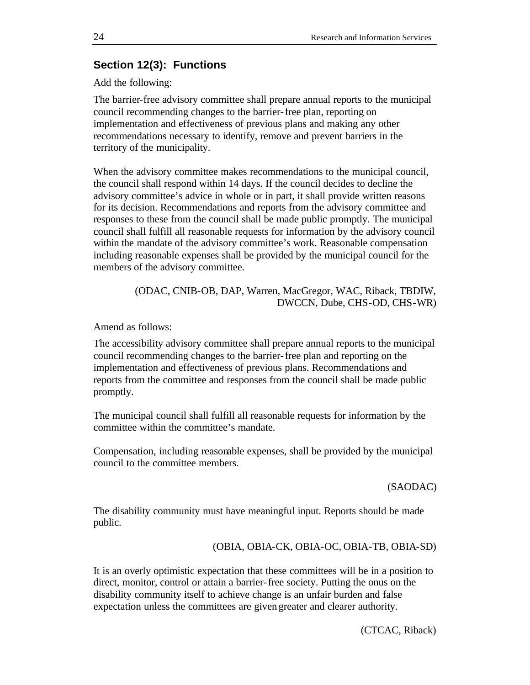# **Section 12(3): Functions**

Add the following:

The barrier-free advisory committee shall prepare annual reports to the municipal council recommending changes to the barrier-free plan, reporting on implementation and effectiveness of previous plans and making any other recommendations necessary to identify, remove and prevent barriers in the territory of the municipality.

When the advisory committee makes recommendations to the municipal council, the council shall respond within 14 days. If the council decides to decline the advisory committee's advice in whole or in part, it shall provide written reasons for its decision. Recommendations and reports from the advisory committee and responses to these from the council shall be made public promptly. The municipal council shall fulfill all reasonable requests for information by the advisory council within the mandate of the advisory committee's work. Reasonable compensation including reasonable expenses shall be provided by the municipal council for the members of the advisory committee.

> (ODAC, CNIB-OB, DAP, Warren, MacGregor, WAC, Riback, TBDIW, DWCCN, Dube, CHS-OD, CHS-WR)

Amend as follows:

The accessibility advisory committee shall prepare annual reports to the municipal council recommending changes to the barrier-free plan and reporting on the implementation and effectiveness of previous plans. Recommendations and reports from the committee and responses from the council shall be made public promptly.

The municipal council shall fulfill all reasonable requests for information by the committee within the committee's mandate.

Compensation, including reasonable expenses, shall be provided by the municipal council to the committee members.

#### (SAODAC)

The disability community must have meaningful input. Reports should be made public.

(OBIA, OBIA-CK, OBIA-OC, OBIA-TB, OBIA-SD)

It is an overly optimistic expectation that these committees will be in a position to direct, monitor, control or attain a barrier-free society. Putting the onus on the disability community itself to achieve change is an unfair burden and false expectation unless the committees are given greater and clearer authority.

(CTCAC, Riback)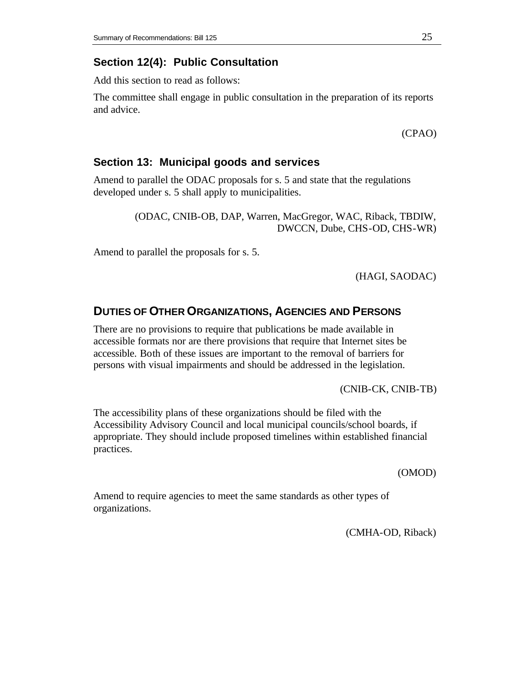# **Section 12(4): Public Consultation**

Add this section to read as follows:

The committee shall engage in public consultation in the preparation of its reports and advice.

(CPAO)

# **Section 13: Municipal goods and services**

Amend to parallel the ODAC proposals for s. 5 and state that the regulations developed under s. 5 shall apply to municipalities.

> (ODAC, CNIB-OB, DAP, Warren, MacGregor, WAC, Riback, TBDIW, DWCCN, Dube, CHS-OD, CHS-WR)

Amend to parallel the proposals for s. 5.

(HAGI, SAODAC)

# **DUTIES OF OTHER ORGANIZATIONS, AGENCIES AND PERSONS**

There are no provisions to require that publications be made available in accessible formats nor are there provisions that require that Internet sites be accessible. Both of these issues are important to the removal of barriers for persons with visual impairments and should be addressed in the legislation.

(CNIB-CK, CNIB-TB)

The accessibility plans of these organizations should be filed with the Accessibility Advisory Council and local municipal councils/school boards, if appropriate. They should include proposed timelines within established financial practices.

(OMOD)

Amend to require agencies to meet the same standards as other types of organizations.

(CMHA-OD, Riback)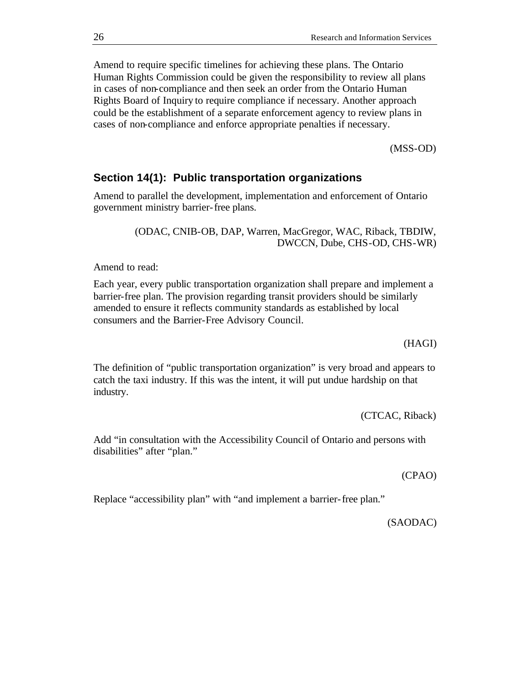Amend to require specific timelines for achieving these plans. The Ontario Human Rights Commission could be given the responsibility to review all plans in cases of non-compliance and then seek an order from the Ontario Human Rights Board of Inquiry to require compliance if necessary. Another approach could be the establishment of a separate enforcement agency to review plans in cases of non-compliance and enforce appropriate penalties if necessary.

(MSS-OD)

# **Section 14(1): Public transportation organizations**

Amend to parallel the development, implementation and enforcement of Ontario government ministry barrier-free plans.

> (ODAC, CNIB-OB, DAP, Warren, MacGregor, WAC, Riback, TBDIW, DWCCN, Dube, CHS-OD, CHS-WR)

Amend to read:

Each year, every public transportation organization shall prepare and implement a barrier-free plan. The provision regarding transit providers should be similarly amended to ensure it reflects community standards as established by local consumers and the Barrier-Free Advisory Council.

(HAGI)

The definition of "public transportation organization" is very broad and appears to catch the taxi industry. If this was the intent, it will put undue hardship on that industry.

(CTCAC, Riback)

Add "in consultation with the Accessibility Council of Ontario and persons with disabilities" after "plan."

(CPAO)

Replace "accessibility plan" with "and implement a barrier-free plan."

(SAODAC)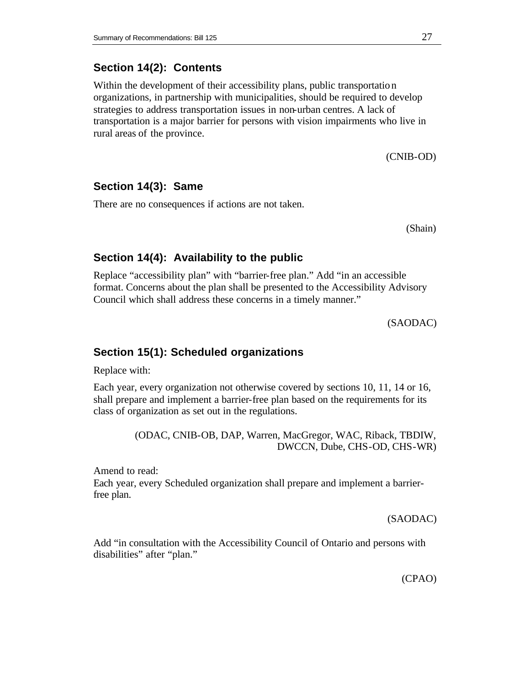## **Section 14(2): Contents**

Within the development of their accessibility plans, public transportation organizations, in partnership with municipalities, should be required to develop strategies to address transportation issues in non-urban centres. A lack of transportation is a major barrier for persons with vision impairments who live in rural areas of the province.

(CNIB-OD)

#### **Section 14(3): Same**

There are no consequences if actions are not taken.

(Shain)

#### **Section 14(4): Availability to the public**

Replace "accessibility plan" with "barrier-free plan." Add "in an accessible format. Concerns about the plan shall be presented to the Accessibility Advisory Council which shall address these concerns in a timely manner."

(SAODAC)

#### **Section 15(1): Scheduled organizations**

Replace with:

Each year, every organization not otherwise covered by sections 10, 11, 14 or 16, shall prepare and implement a barrier-free plan based on the requirements for its class of organization as set out in the regulations.

> (ODAC, CNIB-OB, DAP, Warren, MacGregor, WAC, Riback, TBDIW, DWCCN, Dube, CHS-OD, CHS-WR)

Amend to read:

Each year, every Scheduled organization shall prepare and implement a barrierfree plan.

(SAODAC)

Add "in consultation with the Accessibility Council of Ontario and persons with disabilities" after "plan."

(CPAO)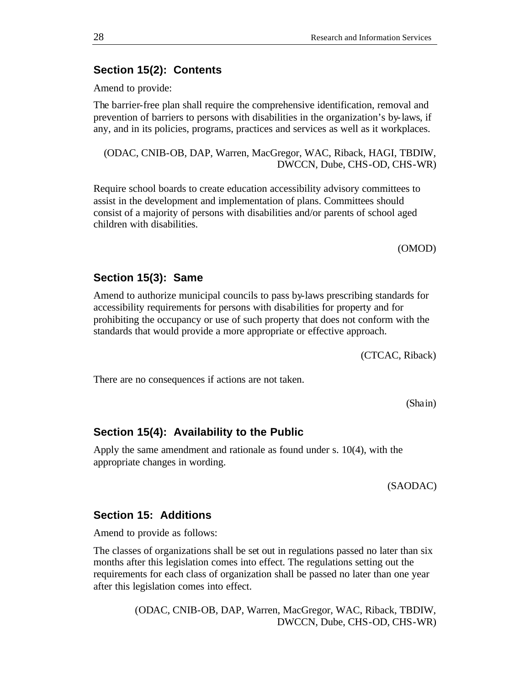# **Section 15(2): Contents**

Amend to provide:

The barrier-free plan shall require the comprehensive identification, removal and prevention of barriers to persons with disabilities in the organization's by-laws, if any, and in its policies, programs, practices and services as well as it workplaces.

(ODAC, CNIB-OB, DAP, Warren, MacGregor, WAC, Riback, HAGI, TBDIW, DWCCN, Dube, CHS-OD, CHS-WR)

Require school boards to create education accessibility advisory committees to assist in the development and implementation of plans. Committees should consist of a majority of persons with disabilities and/or parents of school aged children with disabilities.

(OMOD)

#### **Section 15(3): Same**

Amend to authorize municipal councils to pass by-laws prescribing standards for accessibility requirements for persons with disabilities for property and for prohibiting the occupancy or use of such property that does not conform with the standards that would provide a more appropriate or effective approach.

(CTCAC, Riback)

There are no consequences if actions are not taken.

(Shain)

#### **Section 15(4): Availability to the Public**

Apply the same amendment and rationale as found under s. 10(4), with the appropriate changes in wording.

(SAODAC)

#### **Section 15: Additions**

Amend to provide as follows:

The classes of organizations shall be set out in regulations passed no later than six months after this legislation comes into effect. The regulations setting out the requirements for each class of organization shall be passed no later than one year after this legislation comes into effect.

> (ODAC, CNIB-OB, DAP, Warren, MacGregor, WAC, Riback, TBDIW, DWCCN, Dube, CHS-OD, CHS-WR)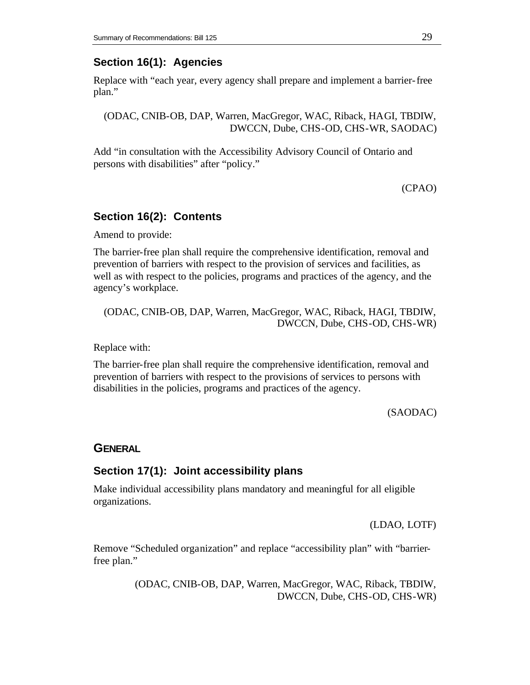# **Section 16(1): Agencies**

Replace with "each year, every agency shall prepare and implement a barrier-free plan."

(ODAC, CNIB-OB, DAP, Warren, MacGregor, WAC, Riback, HAGI, TBDIW, DWCCN, Dube, CHS-OD, CHS-WR, SAODAC)

Add "in consultation with the Accessibility Advisory Council of Ontario and persons with disabilities" after "policy."

(CPAO)

# **Section 16(2): Contents**

Amend to provide:

The barrier-free plan shall require the comprehensive identification, removal and prevention of barriers with respect to the provision of services and facilities, as well as with respect to the policies, programs and practices of the agency, and the agency's workplace.

(ODAC, CNIB-OB, DAP, Warren, MacGregor, WAC, Riback, HAGI, TBDIW, DWCCN, Dube, CHS-OD, CHS-WR)

Replace with:

The barrier-free plan shall require the comprehensive identification, removal and prevention of barriers with respect to the provisions of services to persons with disabilities in the policies, programs and practices of the agency.

(SAODAC)

#### **GENERAL**

## **Section 17(1): Joint accessibility plans**

Make individual accessibility plans mandatory and meaningful for all eligible organizations.

(LDAO, LOTF)

Remove "Scheduled organization" and replace "accessibility plan" with "barrierfree plan."

> (ODAC, CNIB-OB, DAP, Warren, MacGregor, WAC, Riback, TBDIW, DWCCN, Dube, CHS-OD, CHS-WR)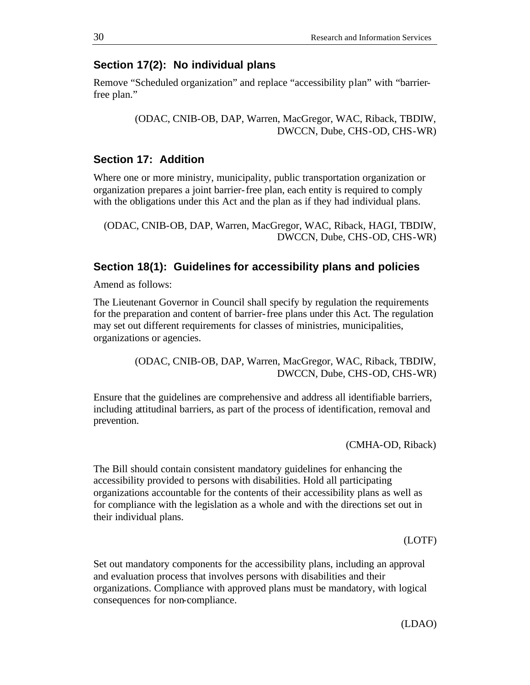#### **Section 17(2): No individual plans**

Remove "Scheduled organization" and replace "accessibility plan" with "barrierfree plan."

> (ODAC, CNIB-OB, DAP, Warren, MacGregor, WAC, Riback, TBDIW, DWCCN, Dube, CHS-OD, CHS-WR)

## **Section 17: Addition**

Where one or more ministry, municipality, public transportation organization or organization prepares a joint barrier-free plan, each entity is required to comply with the obligations under this Act and the plan as if they had individual plans.

(ODAC, CNIB-OB, DAP, Warren, MacGregor, WAC, Riback, HAGI, TBDIW, DWCCN, Dube, CHS-OD, CHS-WR)

#### **Section 18(1): Guidelines for accessibility plans and policies**

Amend as follows:

The Lieutenant Governor in Council shall specify by regulation the requirements for the preparation and content of barrier-free plans under this Act. The regulation may set out different requirements for classes of ministries, municipalities, organizations or agencies.

> (ODAC, CNIB-OB, DAP, Warren, MacGregor, WAC, Riback, TBDIW, DWCCN, Dube, CHS-OD, CHS-WR)

Ensure that the guidelines are comprehensive and address all identifiable barriers, including attitudinal barriers, as part of the process of identification, removal and prevention.

(CMHA-OD, Riback)

The Bill should contain consistent mandatory guidelines for enhancing the accessibility provided to persons with disabilities. Hold all participating organizations accountable for the contents of their accessibility plans as well as for compliance with the legislation as a whole and with the directions set out in their individual plans.

(LOTF)

Set out mandatory components for the accessibility plans, including an approval and evaluation process that involves persons with disabilities and their organizations. Compliance with approved plans must be mandatory, with logical consequences for non-compliance.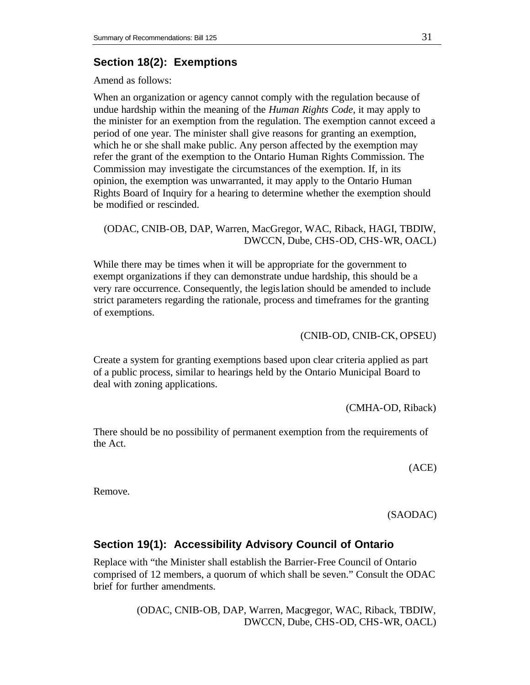# **Section 18(2): Exemptions**

Amend as follows:

When an organization or agency cannot comply with the regulation because of undue hardship within the meaning of the *Human Rights Code*, it may apply to the minister for an exemption from the regulation. The exemption cannot exceed a period of one year. The minister shall give reasons for granting an exemption, which he or she shall make public. Any person affected by the exemption may refer the grant of the exemption to the Ontario Human Rights Commission. The Commission may investigate the circumstances of the exemption. If, in its opinion, the exemption was unwarranted, it may apply to the Ontario Human Rights Board of Inquiry for a hearing to determine whether the exemption should be modified or rescinded.

(ODAC, CNIB-OB, DAP, Warren, MacGregor, WAC, Riback, HAGI, TBDIW, DWCCN, Dube, CHS-OD, CHS-WR, OACL)

While there may be times when it will be appropriate for the government to exempt organizations if they can demonstrate undue hardship, this should be a very rare occurrence. Consequently, the legislation should be amended to include strict parameters regarding the rationale, process and timeframes for the granting of exemptions.

(CNIB-OD, CNIB-CK, OPSEU)

Create a system for granting exemptions based upon clear criteria applied as part of a public process, similar to hearings held by the Ontario Municipal Board to deal with zoning applications.

(CMHA-OD, Riback)

There should be no possibility of permanent exemption from the requirements of the Act.

(ACE)

Remove.

(SAODAC)

# **Section 19(1): Accessibility Advisory Council of Ontario**

Replace with "the Minister shall establish the Barrier-Free Council of Ontario comprised of 12 members, a quorum of which shall be seven." Consult the ODAC brief for further amendments.

> (ODAC, CNIB-OB, DAP, Warren, Macgregor, WAC, Riback, TBDIW, DWCCN, Dube, CHS-OD, CHS-WR, OACL)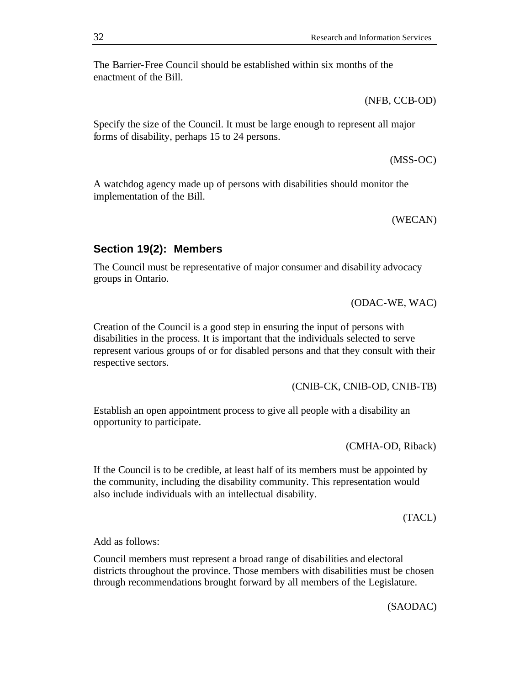The Barrier-Free Council should be established within six months of the enactment of the Bill.

(NFB, CCB-OD)

Specify the size of the Council. It must be large enough to represent all major forms of disability, perhaps 15 to 24 persons.

(MSS-OC)

A watchdog agency made up of persons with disabilities should monitor the implementation of the Bill.

(WECAN)

# **Section 19(2): Members**

The Council must be representative of major consumer and disability advocacy groups in Ontario.

(ODAC-WE, WAC)

Creation of the Council is a good step in ensuring the input of persons with disabilities in the process. It is important that the individuals selected to serve represent various groups of or for disabled persons and that they consult with their respective sectors.

(CNIB-CK, CNIB-OD, CNIB-TB)

Establish an open appointment process to give all people with a disability an opportunity to participate.

(CMHA-OD, Riback)

If the Council is to be credible, at least half of its members must be appointed by the community, including the disability community. This representation would also include individuals with an intellectual disability.

(TACL)

Add as follows:

Council members must represent a broad range of disabilities and electoral districts throughout the province. Those members with disabilities must be chosen through recommendations brought forward by all members of the Legislature.

(SAODAC)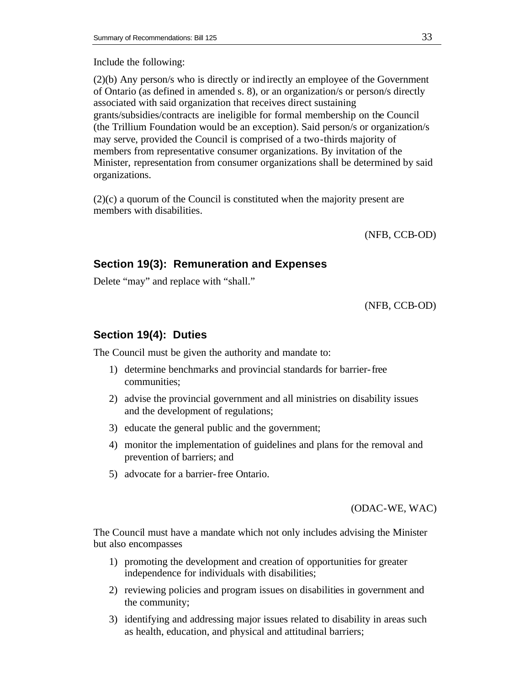#### Include the following:

(2)(b) Any person/s who is directly or indirectly an employee of the Government of Ontario (as defined in amended s. 8), or an organization/s or person/s directly associated with said organization that receives direct sustaining grants/subsidies/contracts are ineligible for formal membership on the Council (the Trillium Foundation would be an exception). Said person/s or organization/s may serve, provided the Council is comprised of a two-thirds majority of members from representative consumer organizations. By invitation of the Minister, representation from consumer organizations shall be determined by said organizations.

(2)(c) a quorum of the Council is constituted when the majority present are members with disabilities.

(NFB, CCB-OD)

# **Section 19(3): Remuneration and Expenses**

Delete "may" and replace with "shall."

(NFB, CCB-OD)

## **Section 19(4): Duties**

The Council must be given the authority and mandate to:

- 1) determine benchmarks and provincial standards for barrier-free communities;
- 2) advise the provincial government and all ministries on disability issues and the development of regulations;
- 3) educate the general public and the government;
- 4) monitor the implementation of guidelines and plans for the removal and prevention of barriers; and
- 5) advocate for a barrier-free Ontario.

(ODAC-WE, WAC)

The Council must have a mandate which not only includes advising the Minister but also encompasses

- 1) promoting the development and creation of opportunities for greater independence for individuals with disabilities;
- 2) reviewing policies and program issues on disabilities in government and the community;
- 3) identifying and addressing major issues related to disability in areas such as health, education, and physical and attitudinal barriers;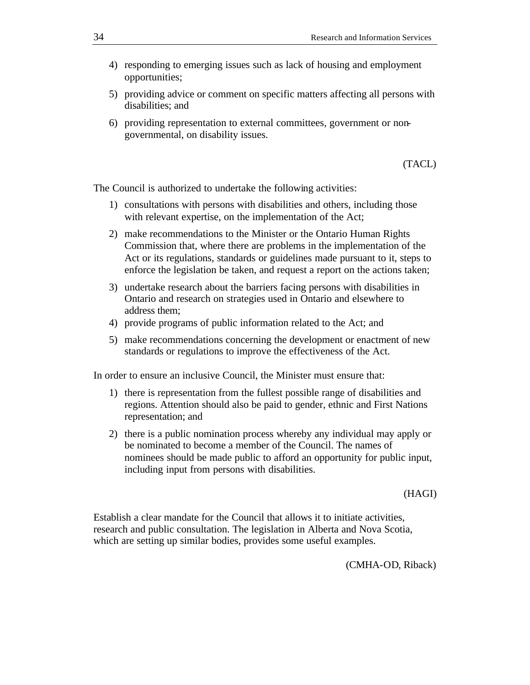- 4) responding to emerging issues such as lack of housing and employment opportunities;
- 5) providing advice or comment on specific matters affecting all persons with disabilities; and
- 6) providing representation to external committees, government or nongovernmental, on disability issues.

(TACL)

The Council is authorized to undertake the following activities:

- 1) consultations with persons with disabilities and others, including those with relevant expertise, on the implementation of the Act;
- 2) make recommendations to the Minister or the Ontario Human Rights Commission that, where there are problems in the implementation of the Act or its regulations, standards or guidelines made pursuant to it, steps to enforce the legislation be taken, and request a report on the actions taken;
- 3) undertake research about the barriers facing persons with disabilities in Ontario and research on strategies used in Ontario and elsewhere to address them;
- 4) provide programs of public information related to the Act; and
- 5) make recommendations concerning the development or enactment of new standards or regulations to improve the effectiveness of the Act.

In order to ensure an inclusive Council, the Minister must ensure that:

- 1) there is representation from the fullest possible range of disabilities and regions. Attention should also be paid to gender, ethnic and First Nations representation; and
- 2) there is a public nomination process whereby any individual may apply or be nominated to become a member of the Council. The names of nominees should be made public to afford an opportunity for public input, including input from persons with disabilities.

(HAGI)

Establish a clear mandate for the Council that allows it to initiate activities, research and public consultation. The legislation in Alberta and Nova Scotia, which are setting up similar bodies, provides some useful examples.

(CMHA-OD, Riback)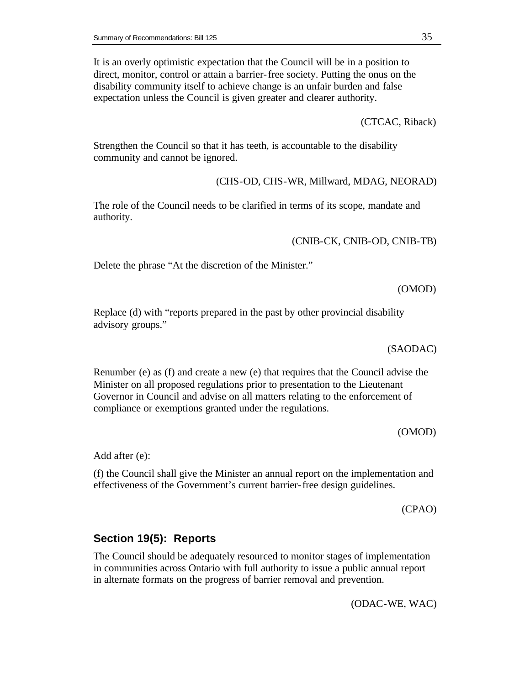It is an overly optimistic expectation that the Council will be in a position to direct, monitor, control or attain a barrier-free society. Putting the onus on the disability community itself to achieve change is an unfair burden and false expectation unless the Council is given greater and clearer authority.

(CTCAC, Riback)

Strengthen the Council so that it has teeth, is accountable to the disability community and cannot be ignored.

(CHS-OD, CHS-WR, Millward, MDAG, NEORAD)

The role of the Council needs to be clarified in terms of its scope, mandate and authority.

(CNIB-CK, CNIB-OD, CNIB-TB)

Delete the phrase "At the discretion of the Minister."

(OMOD)

Replace (d) with "reports prepared in the past by other provincial disability advisory groups."

(SAODAC)

Renumber (e) as (f) and create a new (e) that requires that the Council advise the Minister on all proposed regulations prior to presentation to the Lieutenant Governor in Council and advise on all matters relating to the enforcement of compliance or exemptions granted under the regulations.

(OMOD)

Add after (e):

(f) the Council shall give the Minister an annual report on the implementation and effectiveness of the Government's current barrier-free design guidelines.

(CPAO)

#### **Section 19(5): Reports**

The Council should be adequately resourced to monitor stages of implementation in communities across Ontario with full authority to issue a public annual report in alternate formats on the progress of barrier removal and prevention.

(ODAC-WE, WAC)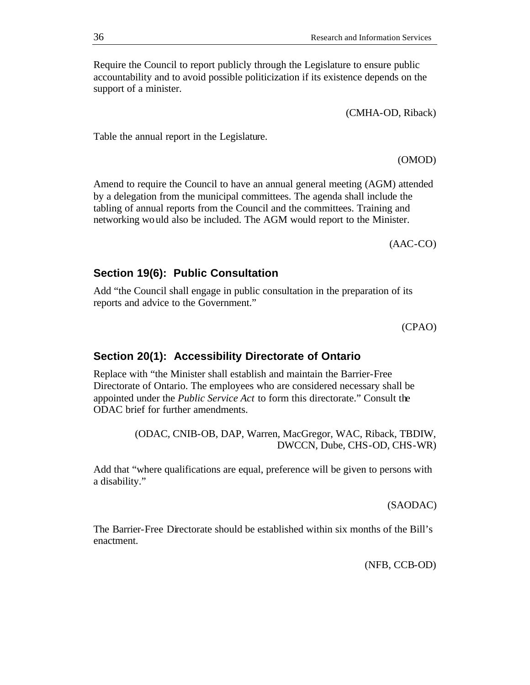Require the Council to report publicly through the Legislature to ensure public accountability and to avoid possible politicization if its existence depends on the support of a minister.

(CMHA-OD, Riback)

Table the annual report in the Legislature.

Amend to require the Council to have an annual general meeting (AGM) attended by a delegation from the municipal committees. The agenda shall include the tabling of annual reports from the Council and the committees. Training and networking would also be included. The AGM would report to the Minister.

(AAC-CO)

(OMOD)

## **Section 19(6): Public Consultation**

Add "the Council shall engage in public consultation in the preparation of its reports and advice to the Government."

(CPAO)

#### **Section 20(1): Accessibility Directorate of Ontario**

Replace with "the Minister shall establish and maintain the Barrier-Free Directorate of Ontario. The employees who are considered necessary shall be appointed under the *Public Service Act* to form this directorate." Consult the ODAC brief for further amendments.

> (ODAC, CNIB-OB, DAP, Warren, MacGregor, WAC, Riback, TBDIW, DWCCN, Dube, CHS-OD, CHS-WR)

Add that "where qualifications are equal, preference will be given to persons with a disability."

(SAODAC)

The Barrier-Free Directorate should be established within six months of the Bill's enactment.

(NFB, CCB-OD)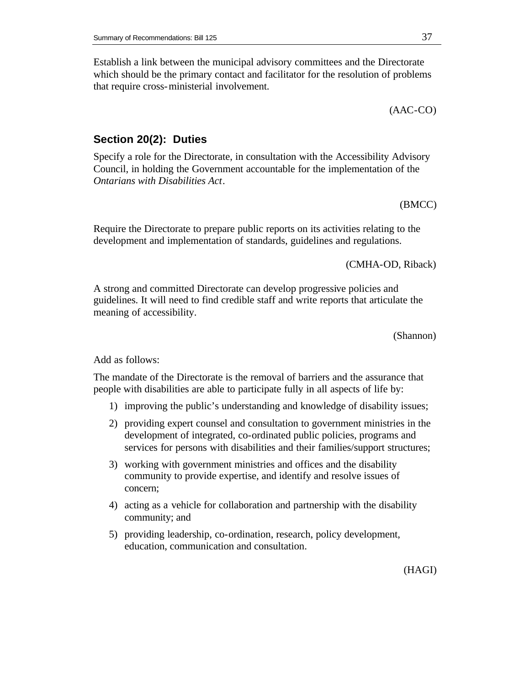Establish a link between the municipal advisory committees and the Directorate which should be the primary contact and facilitator for the resolution of problems that require cross-ministerial involvement.

(AAC-CO)

#### **Section 20(2): Duties**

Specify a role for the Directorate, in consultation with the Accessibility Advisory Council, in holding the Government accountable for the implementation of the *Ontarians with Disabilities Act*.

(BMCC)

Require the Directorate to prepare public reports on its activities relating to the development and implementation of standards, guidelines and regulations.

(CMHA-OD, Riback)

A strong and committed Directorate can develop progressive policies and guidelines. It will need to find credible staff and write reports that articulate the meaning of accessibility.

(Shannon)

Add as follows:

The mandate of the Directorate is the removal of barriers and the assurance that people with disabilities are able to participate fully in all aspects of life by:

- 1) improving the public's understanding and knowledge of disability issues;
- 2) providing expert counsel and consultation to government ministries in the development of integrated, co-ordinated public policies, programs and services for persons with disabilities and their families/support structures;
- 3) working with government ministries and offices and the disability community to provide expertise, and identify and resolve issues of concern;
- 4) acting as a vehicle for collaboration and partnership with the disability community; and
- 5) providing leadership, co-ordination, research, policy development, education, communication and consultation.

(HAGI)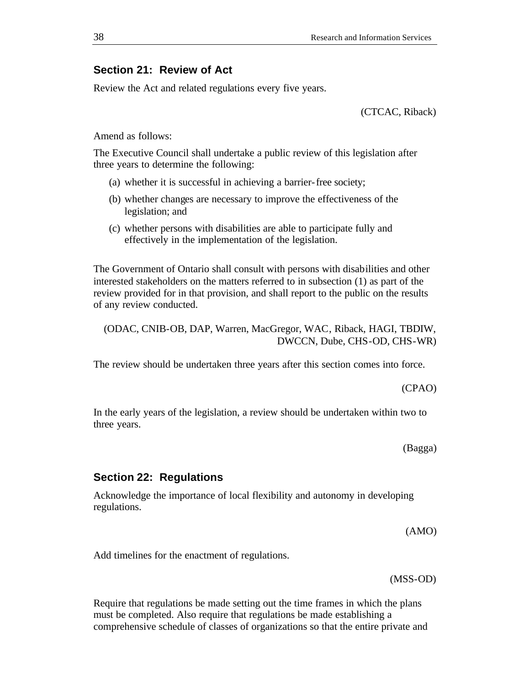## **Section 21: Review of Act**

Review the Act and related regulations every five years.

(CTCAC, Riback)

Amend as follows:

The Executive Council shall undertake a public review of this legislation after three years to determine the following:

- (a) whether it is successful in achieving a barrier-free society;
- (b) whether changes are necessary to improve the effectiveness of the legislation; and
- (c) whether persons with disabilities are able to participate fully and effectively in the implementation of the legislation.

The Government of Ontario shall consult with persons with disabilities and other interested stakeholders on the matters referred to in subsection (1) as part of the review provided for in that provision, and shall report to the public on the results of any review conducted.

(ODAC, CNIB-OB, DAP, Warren, MacGregor, WAC, Riback, HAGI, TBDIW, DWCCN, Dube, CHS-OD, CHS-WR)

The review should be undertaken three years after this section comes into force.

(CPAO)

In the early years of the legislation, a review should be undertaken within two to three years.

(Bagga)

#### **Section 22: Regulations**

Acknowledge the importance of local flexibility and autonomy in developing regulations.

(AMO)

Add timelines for the enactment of regulations.

(MSS-OD)

Require that regulations be made setting out the time frames in which the plans must be completed. Also require that regulations be made establishing a comprehensive schedule of classes of organizations so that the entire private and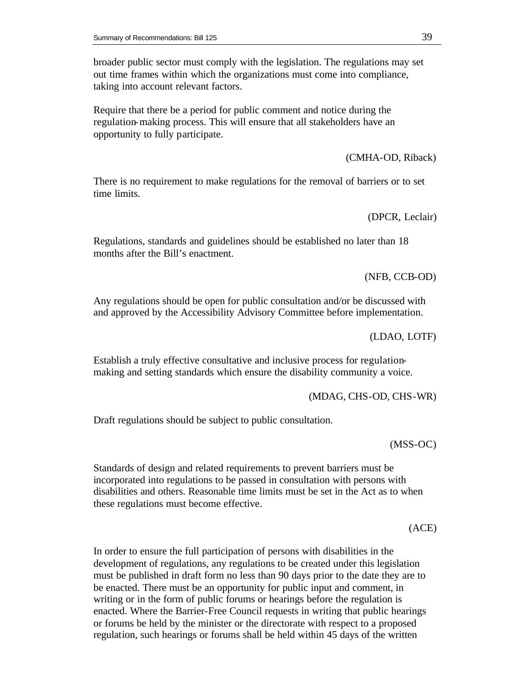broader public sector must comply with the legislation. The regulations may set out time frames within which the organizations must come into compliance, taking into account relevant factors.

Require that there be a period for public comment and notice during the regulation-making process. This will ensure that all stakeholders have an opportunity to fully participate.

(CMHA-OD, Riback)

There is no requirement to make regulations for the removal of barriers or to set time limits.

(DPCR, Leclair)

Regulations, standards and guidelines should be established no later than 18 months after the Bill's enactment.

(NFB, CCB-OD)

Any regulations should be open for public consultation and/or be discussed with and approved by the Accessibility Advisory Committee before implementation.

(LDAO, LOTF)

Establish a truly effective consultative and inclusive process for regulationmaking and setting standards which ensure the disability community a voice.

(MDAG, CHS-OD, CHS-WR)

Draft regulations should be subject to public consultation.

(MSS-OC)

Standards of design and related requirements to prevent barriers must be incorporated into regulations to be passed in consultation with persons with disabilities and others. Reasonable time limits must be set in the Act as to when these regulations must become effective.

(ACE)

In order to ensure the full participation of persons with disabilities in the development of regulations, any regulations to be created under this legislation must be published in draft form no less than 90 days prior to the date they are to be enacted. There must be an opportunity for public input and comment, in writing or in the form of public forums or hearings before the regulation is enacted. Where the Barrier-Free Council requests in writing that public hearings or forums be held by the minister or the directorate with respect to a proposed regulation, such hearings or forums shall be held within 45 days of the written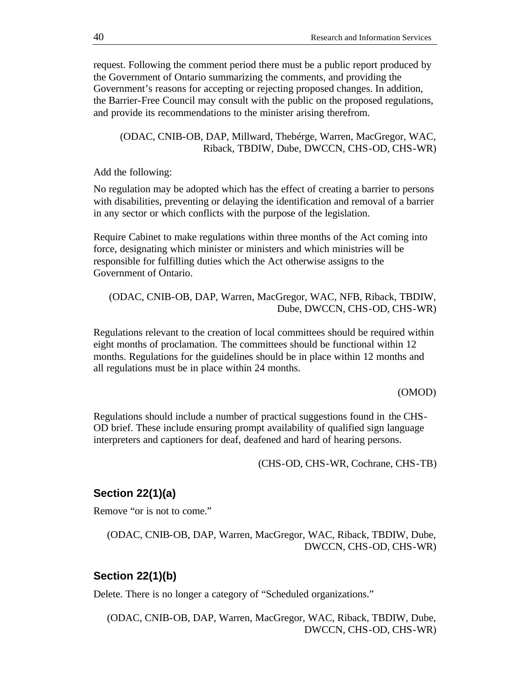request. Following the comment period there must be a public report produced by the Government of Ontario summarizing the comments, and providing the Government's reasons for accepting or rejecting proposed changes. In addition, the Barrier-Free Council may consult with the public on the proposed regulations, and provide its recommendations to the minister arising therefrom.

(ODAC, CNIB-OB, DAP, Millward, Thebérge, Warren, MacGregor, WAC, Riback, TBDIW, Dube, DWCCN, CHS-OD, CHS-WR)

Add the following:

No regulation may be adopted which has the effect of creating a barrier to persons with disabilities, preventing or delaying the identification and removal of a barrier in any sector or which conflicts with the purpose of the legislation.

Require Cabinet to make regulations within three months of the Act coming into force, designating which minister or ministers and which ministries will be responsible for fulfilling duties which the Act otherwise assigns to the Government of Ontario.

(ODAC, CNIB-OB, DAP, Warren, MacGregor, WAC, NFB, Riback, TBDIW, Dube, DWCCN, CHS-OD, CHS-WR)

Regulations relevant to the creation of local committees should be required within eight months of proclamation. The committees should be functional within 12 months. Regulations for the guidelines should be in place within 12 months and all regulations must be in place within 24 months.

#### (OMOD)

Regulations should include a number of practical suggestions found in the CHS-OD brief. These include ensuring prompt availability of qualified sign language interpreters and captioners for deaf, deafened and hard of hearing persons.

(CHS-OD, CHS-WR, Cochrane, CHS-TB)

## **Section 22(1)(a)**

Remove "or is not to come."

(ODAC, CNIB-OB, DAP, Warren, MacGregor, WAC, Riback, TBDIW, Dube, DWCCN, CHS-OD, CHS-WR)

## **Section 22(1)(b)**

Delete. There is no longer a category of "Scheduled organizations."

(ODAC, CNIB-OB, DAP, Warren, MacGregor, WAC, Riback, TBDIW, Dube, DWCCN, CHS-OD, CHS-WR)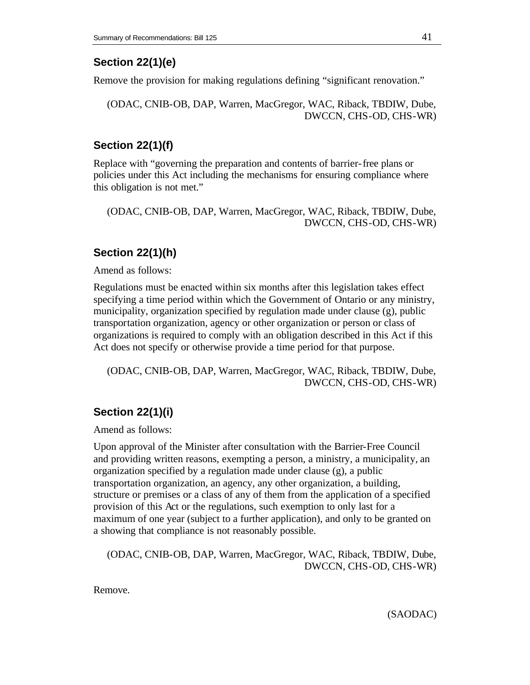# **Section 22(1)(e)**

Remove the provision for making regulations defining "significant renovation."

(ODAC, CNIB-OB, DAP, Warren, MacGregor, WAC, Riback, TBDIW, Dube, DWCCN, CHS-OD, CHS-WR)

# **Section 22(1)(f)**

Replace with "governing the preparation and contents of barrier-free plans or policies under this Act including the mechanisms for ensuring compliance where this obligation is not met."

(ODAC, CNIB-OB, DAP, Warren, MacGregor, WAC, Riback, TBDIW, Dube, DWCCN, CHS-OD, CHS-WR)

# **Section 22(1)(h)**

Amend as follows:

Regulations must be enacted within six months after this legislation takes effect specifying a time period within which the Government of Ontario or any ministry, municipality, organization specified by regulation made under clause (g), public transportation organization, agency or other organization or person or class of organizations is required to comply with an obligation described in this Act if this Act does not specify or otherwise provide a time period for that purpose.

(ODAC, CNIB-OB, DAP, Warren, MacGregor, WAC, Riback, TBDIW, Dube, DWCCN, CHS-OD, CHS-WR)

# **Section 22(1)(i)**

Amend as follows:

Upon approval of the Minister after consultation with the Barrier-Free Council and providing written reasons, exempting a person, a ministry, a municipality, an organization specified by a regulation made under clause (g), a public transportation organization, an agency, any other organization, a building, structure or premises or a class of any of them from the application of a specified provision of this Act or the regulations, such exemption to only last for a maximum of one year (subject to a further application), and only to be granted on a showing that compliance is not reasonably possible.

(ODAC, CNIB-OB, DAP, Warren, MacGregor, WAC, Riback, TBDIW, Dube, DWCCN, CHS-OD, CHS-WR)

Remove.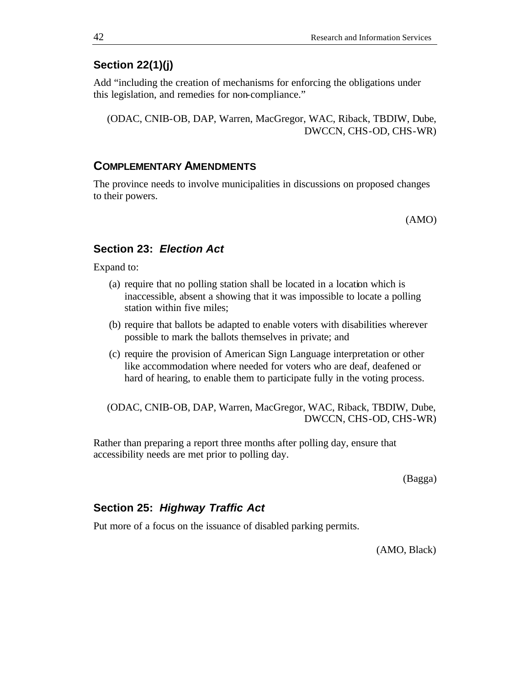# **Section 22(1)(j)**

Add "including the creation of mechanisms for enforcing the obligations under this legislation, and remedies for non-compliance."

(ODAC, CNIB-OB, DAP, Warren, MacGregor, WAC, Riback, TBDIW, Dube, DWCCN, CHS-OD, CHS-WR)

#### **COMPLEMENTARY AMENDMENTS**

The province needs to involve municipalities in discussions on proposed changes to their powers.

(AMO)

## **Section 23:** *Election Act*

Expand to:

- (a) require that no polling station shall be located in a location which is inaccessible, absent a showing that it was impossible to locate a polling station within five miles;
- (b) require that ballots be adapted to enable voters with disabilities wherever possible to mark the ballots themselves in private; and
- (c) require the provision of American Sign Language interpretation or other like accommodation where needed for voters who are deaf, deafened or hard of hearing, to enable them to participate fully in the voting process.

(ODAC, CNIB-OB, DAP, Warren, MacGregor, WAC, Riback, TBDIW, Dube, DWCCN, CHS-OD, CHS-WR)

Rather than preparing a report three months after polling day, ensure that accessibility needs are met prior to polling day.

(Bagga)

#### **Section 25:** *Highway Traffic Act*

Put more of a focus on the issuance of disabled parking permits.

(AMO, Black)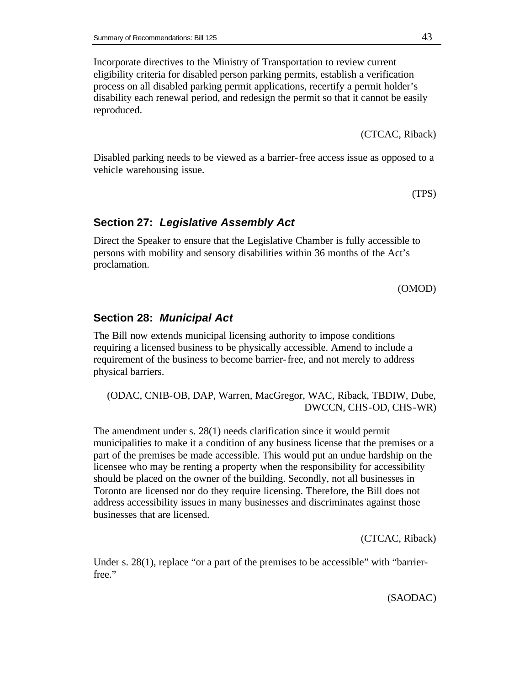Incorporate directives to the Ministry of Transportation to review current eligibility criteria for disabled person parking permits, establish a verification process on all disabled parking permit applications, recertify a permit holder's disability each renewal period, and redesign the permit so that it cannot be easily reproduced.

(CTCAC, Riback)

Disabled parking needs to be viewed as a barrier-free access issue as opposed to a vehicle warehousing issue.

(TPS)

#### **Section 27:** *Legislative Assembly Act*

Direct the Speaker to ensure that the Legislative Chamber is fully accessible to persons with mobility and sensory disabilities within 36 months of the Act's proclamation.

(OMOD)

# **Section 28:** *Municipal Act*

The Bill now extends municipal licensing authority to impose conditions requiring a licensed business to be physically accessible. Amend to include a requirement of the business to become barrier-free, and not merely to address physical barriers.

(ODAC, CNIB-OB, DAP, Warren, MacGregor, WAC, Riback, TBDIW, Dube, DWCCN, CHS-OD, CHS-WR)

The amendment under s. 28(1) needs clarification since it would permit municipalities to make it a condition of any business license that the premises or a part of the premises be made accessible. This would put an undue hardship on the licensee who may be renting a property when the responsibility for accessibility should be placed on the owner of the building. Secondly, not all businesses in Toronto are licensed nor do they require licensing. Therefore, the Bill does not address accessibility issues in many businesses and discriminates against those businesses that are licensed.

(CTCAC, Riback)

Under s. 28(1), replace "or a part of the premises to be accessible" with "barrierfree."

(SAODAC)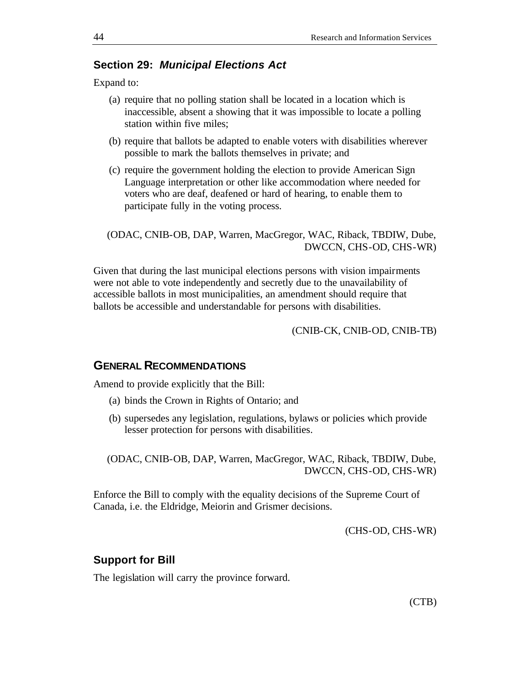## **Section 29:** *Municipal Elections Act*

Expand to:

- (a) require that no polling station shall be located in a location which is inaccessible, absent a showing that it was impossible to locate a polling station within five miles;
- (b) require that ballots be adapted to enable voters with disabilities wherever possible to mark the ballots themselves in private; and
- (c) require the government holding the election to provide American Sign Language interpretation or other like accommodation where needed for voters who are deaf, deafened or hard of hearing, to enable them to participate fully in the voting process.

```
(ODAC, CNIB-OB, DAP, Warren, MacGregor, WAC, Riback, TBDIW, Dube, 
                          DWCCN, CHS-OD, CHS-WR)
```
Given that during the last municipal elections persons with vision impairments were not able to vote independently and secretly due to the unavailability of accessible ballots in most municipalities, an amendment should require that ballots be accessible and understandable for persons with disabilities.

(CNIB-CK, CNIB-OD, CNIB-TB)

# **GENERAL RECOMMENDATIONS**

Amend to provide explicitly that the Bill:

- (a) binds the Crown in Rights of Ontario; and
- (b) supersedes any legislation, regulations, bylaws or policies which provide lesser protection for persons with disabilities.

(ODAC, CNIB-OB, DAP, Warren, MacGregor, WAC, Riback, TBDIW, Dube, DWCCN, CHS-OD, CHS-WR)

Enforce the Bill to comply with the equality decisions of the Supreme Court of Canada, i.e. the Eldridge, Meiorin and Grismer decisions.

(CHS-OD, CHS-WR)

#### **Support for Bill**

The legislation will carry the province forward.

(CTB)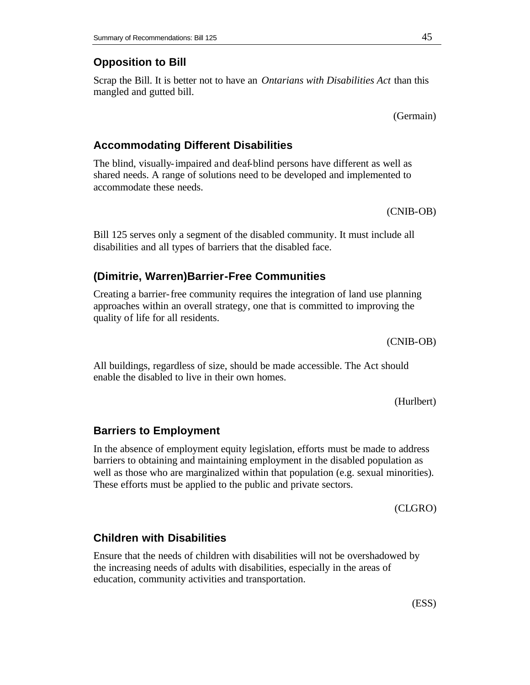# **Opposition to Bill**

Scrap the Bill. It is better not to have an *Ontarians with Disabilities Act* than this mangled and gutted bill.

(Germain)

# **Accommodating Different Disabilities**

The blind, visually-impaired and deaf-blind persons have different as well as shared needs. A range of solutions need to be developed and implemented to accommodate these needs.

(CNIB-OB)

Bill 125 serves only a segment of the disabled community. It must include all disabilities and all types of barriers that the disabled face.

# **(Dimitrie, Warren)Barrier-Free Communities**

Creating a barrier-free community requires the integration of land use planning approaches within an overall strategy, one that is committed to improving the quality of life for all residents.

All buildings, regardless of size, should be made accessible. The Act should enable the disabled to live in their own homes.

(Hurlbert)

# **Barriers to Employment**

In the absence of employment equity legislation, efforts must be made to address barriers to obtaining and maintaining employment in the disabled population as well as those who are marginalized within that population (e.g. sexual minorities). These efforts must be applied to the public and private sectors.

(CLGRO)

# **Children with Disabilities**

Ensure that the needs of children with disabilities will not be overshadowed by the increasing needs of adults with disabilities, especially in the areas of education, community activities and transportation.

(CNIB-OB)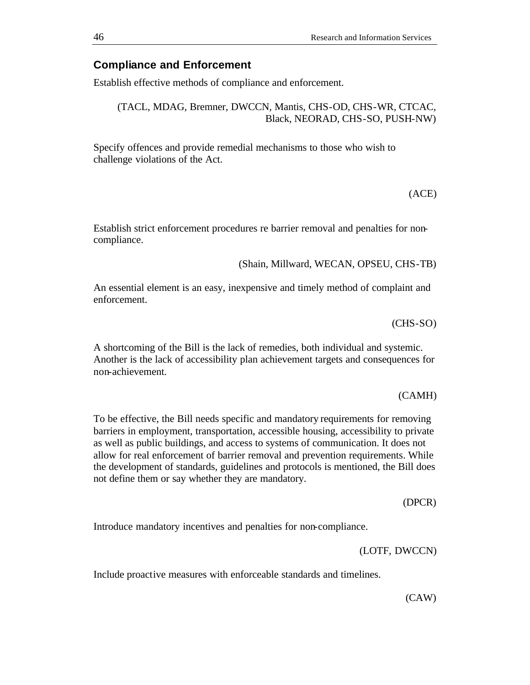## **Compliance and Enforcement**

Establish effective methods of compliance and enforcement.

(TACL, MDAG, Bremner, DWCCN, Mantis, CHS-OD, CHS-WR, CTCAC, Black, NEORAD, CHS-SO, PUSH-NW)

Specify offences and provide remedial mechanisms to those who wish to challenge violations of the Act.

(ACE)

Establish strict enforcement procedures re barrier removal and penalties for noncompliance.

(Shain, Millward, WECAN, OPSEU, CHS-TB)

An essential element is an easy, inexpensive and timely method of complaint and enforcement.

(CHS-SO)

A shortcoming of the Bill is the lack of remedies, both individual and systemic. Another is the lack of accessibility plan achievement targets and consequences for non-achievement.

(CAMH)

To be effective, the Bill needs specific and mandatory requirements for removing barriers in employment, transportation, accessible housing, accessibility to private as well as public buildings, and access to systems of communication. It does not allow for real enforcement of barrier removal and prevention requirements. While the development of standards, guidelines and protocols is mentioned, the Bill does not define them or say whether they are mandatory.

(DPCR)

Introduce mandatory incentives and penalties for non-compliance.

(LOTF, DWCCN)

Include proactive measures with enforceable standards and timelines.

(CAW)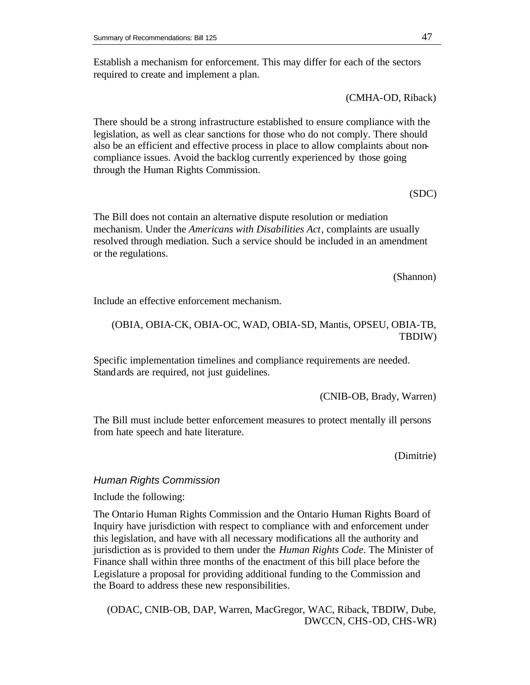Establish a mechanism for enforcement. This may differ for each of the sectors required to create and implement a plan.

(CMHA-OD, Riback)

There should be a strong infrastructure established to ensure compliance with the legislation, as well as clear sanctions for those who do not comply. There should also be an efficient and effective process in place to allow complaints about noncompliance issues. Avoid the backlog currently experienced by those going through the Human Rights Commission.

(SDC)

The Bill does not contain an alternative dispute resolution or mediation mechanism. Under the *Americans with Disabilities Act*, complaints are usually resolved through mediation. Such a service should be included in an amendment or the regulations.

(Shannon)

Include an effective enforcement mechanism.

## (OBIA, OBIA-CK, OBIA-OC, WAD, OBIA-SD, Mantis, OPSEU, OBIA-TB, TBDIW)

Specific implementation timelines and compliance requirements are needed. Standards are required, not just guidelines.

(CNIB-OB, Brady, Warren)

The Bill must include better enforcement measures to protect mentally ill persons from hate speech and hate literature.

(Dimitrie)

## *Human Rights Commission*

## Include the following:

The Ontario Human Rights Commission and the Ontario Human Rights Board of Inquiry have jurisdiction with respect to compliance with and enforcement under this legislation, and have with all necessary modifications all the authority and jurisdiction as is provided to them under the *Human Rights Code*. The Minister of Finance shall within three months of the enactment of this bill place before the Legislature a proposal for providing additional funding to the Commission and the Board to address these new responsibilities.

(ODAC, CNIB-OB, DAP, Warren, MacGregor, WAC, Riback, TBDIW, Dube, DWCCN, CHS-OD, CHS-WR)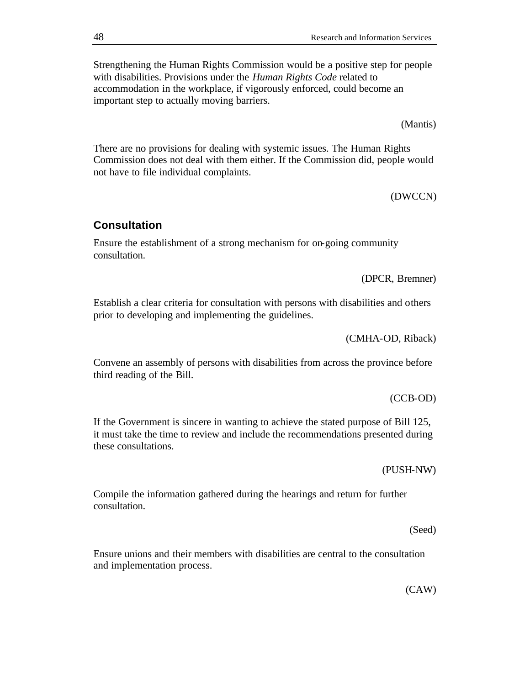Strengthening the Human Rights Commission would be a positive step for people with disabilities. Provisions under the *Human Rights Code* related to accommodation in the workplace, if vigorously enforced, could become an important step to actually moving barriers.

(Mantis)

There are no provisions for dealing with systemic issues. The Human Rights Commission does not deal with them either. If the Commission did, people would not have to file individual complaints.

(DWCCN)

# **Consultation**

Ensure the establishment of a strong mechanism for on-going community consultation.

(DPCR, Bremner)

Establish a clear criteria for consultation with persons with disabilities and others prior to developing and implementing the guidelines.

(CMHA-OD, Riback)

Convene an assembly of persons with disabilities from across the province before third reading of the Bill.

(CCB-OD)

If the Government is sincere in wanting to achieve the stated purpose of Bill 125, it must take the time to review and include the recommendations presented during these consultations.

(PUSH-NW)

Compile the information gathered during the hearings and return for further consultation.

(Seed)

Ensure unions and their members with disabilities are central to the consultation and implementation process.

(CAW)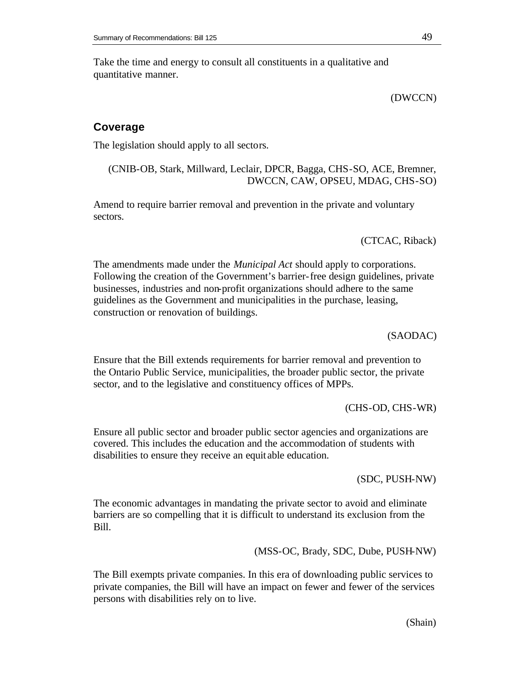Take the time and energy to consult all constituents in a qualitative and quantitative manner.

(DWCCN)

# **Coverage**

The legislation should apply to all sectors.

(CNIB-OB, Stark, Millward, Leclair, DPCR, Bagga, CHS-SO, ACE, Bremner, DWCCN, CAW, OPSEU, MDAG, CHS-SO)

Amend to require barrier removal and prevention in the private and voluntary sectors.

(CTCAC, Riback)

The amendments made under the *Municipal Act* should apply to corporations. Following the creation of the Government's barrier-free design guidelines, private businesses, industries and non-profit organizations should adhere to the same guidelines as the Government and municipalities in the purchase, leasing, construction or renovation of buildings.

(SAODAC)

Ensure that the Bill extends requirements for barrier removal and prevention to the Ontario Public Service, municipalities, the broader public sector, the private sector, and to the legislative and constituency offices of MPPs.

(CHS-OD, CHS-WR)

Ensure all public sector and broader public sector agencies and organizations are covered. This includes the education and the accommodation of students with disabilities to ensure they receive an equit able education.

(SDC, PUSH-NW)

The economic advantages in mandating the private sector to avoid and eliminate barriers are so compelling that it is difficult to understand its exclusion from the Bill.

(MSS-OC, Brady, SDC, Dube, PUSH-NW)

The Bill exempts private companies. In this era of downloading public services to private companies, the Bill will have an impact on fewer and fewer of the services persons with disabilities rely on to live.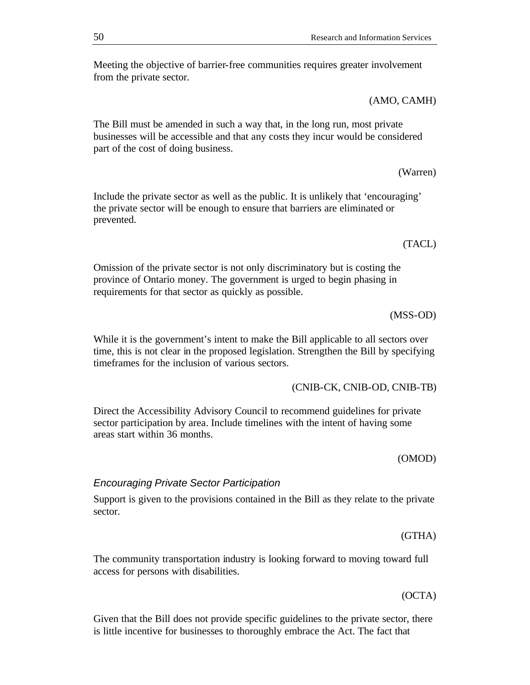Meeting the objective of barrier-free communities requires greater involvement from the private sector.

(AMO, CAMH)

The Bill must be amended in such a way that, in the long run, most private businesses will be accessible and that any costs they incur would be considered part of the cost of doing business.

(Warren)

Include the private sector as well as the public. It is unlikely that 'encouraging' the private sector will be enough to ensure that barriers are eliminated or prevented.

(TACL)

Omission of the private sector is not only discriminatory but is costing the province of Ontario money. The government is urged to begin phasing in requirements for that sector as quickly as possible.

(MSS-OD)

While it is the government's intent to make the Bill applicable to all sectors over time, this is not clear in the proposed legislation. Strengthen the Bill by specifying timeframes for the inclusion of various sectors.

(CNIB-CK, CNIB-OD, CNIB-TB)

Direct the Accessibility Advisory Council to recommend guidelines for private sector participation by area. Include timelines with the intent of having some areas start within 36 months.

(OMOD)

#### *Encouraging Private Sector Participation*

Support is given to the provisions contained in the Bill as they relate to the private sector.

(GTHA)

The community transportation industry is looking forward to moving toward full access for persons with disabilities.

(OCTA)

Given that the Bill does not provide specific guidelines to the private sector, there is little incentive for businesses to thoroughly embrace the Act. The fact that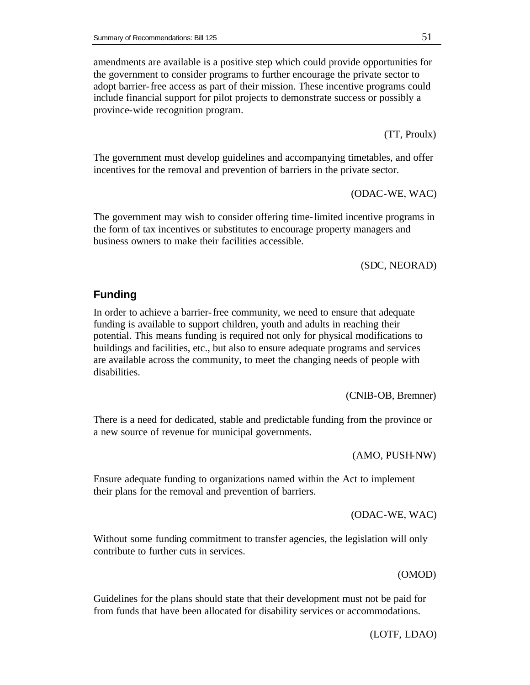amendments are available is a positive step which could provide opportunities for the government to consider programs to further encourage the private sector to adopt barrier-free access as part of their mission. These incentive programs could include financial support for pilot projects to demonstrate success or possibly a province-wide recognition program.

(TT, Proulx)

The government must develop guidelines and accompanying timetables, and offer incentives for the removal and prevention of barriers in the private sector.

(ODAC-WE, WAC)

The government may wish to consider offering time-limited incentive programs in the form of tax incentives or substitutes to encourage property managers and business owners to make their facilities accessible.

(SDC, NEORAD)

# **Funding**

In order to achieve a barrier-free community, we need to ensure that adequate funding is available to support children, youth and adults in reaching their potential. This means funding is required not only for physical modifications to buildings and facilities, etc., but also to ensure adequate programs and services are available across the community, to meet the changing needs of people with disabilities.

(CNIB-OB, Bremner)

There is a need for dedicated, stable and predictable funding from the province or a new source of revenue for municipal governments.

(AMO, PUSH-NW)

Ensure adequate funding to organizations named within the Act to implement their plans for the removal and prevention of barriers.

(ODAC-WE, WAC)

Without some funding commitment to transfer agencies, the legislation will only contribute to further cuts in services.

(OMOD)

Guidelines for the plans should state that their development must not be paid for from funds that have been allocated for disability services or accommodations.

(LOTF, LDAO)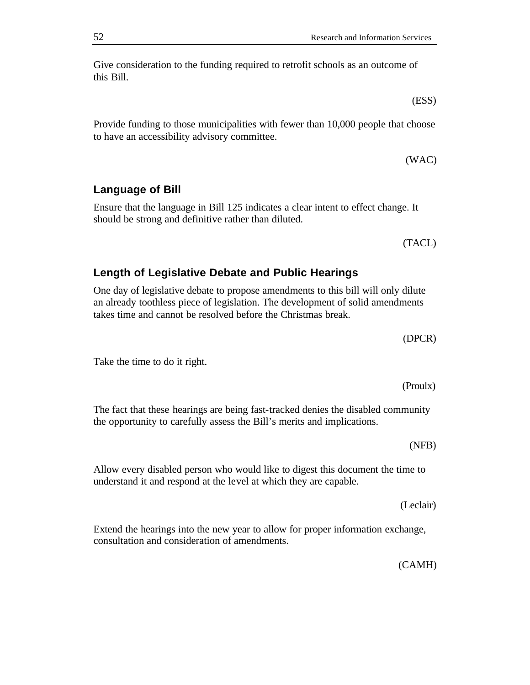Give consideration to the funding required to retrofit schools as an outcome of this Bill.

(ESS)

(WAC)

Provide funding to those municipalities with fewer than 10,000 people that choose to have an accessibility advisory committee.

(TACL)

# **Length of Legislative Debate and Public Hearings**

should be strong and definitive rather than diluted.

One day of legislative debate to propose amendments to this bill will only dilute an already toothless piece of legislation. The development of solid amendments takes time and cannot be resolved before the Christmas break.

Ensure that the language in Bill 125 indicates a clear intent to effect change. It

Take the time to do it right.

**Language of Bill**

(Proulx)

(DPCR)

The fact that these hearings are being fast-tracked denies the disabled community the opportunity to carefully assess the Bill's merits and implications.

(NFB)

Allow every disabled person who would like to digest this document the time to understand it and respond at the level at which they are capable.

(Leclair)

Extend the hearings into the new year to allow for proper information exchange, consultation and consideration of amendments.

(CAMH)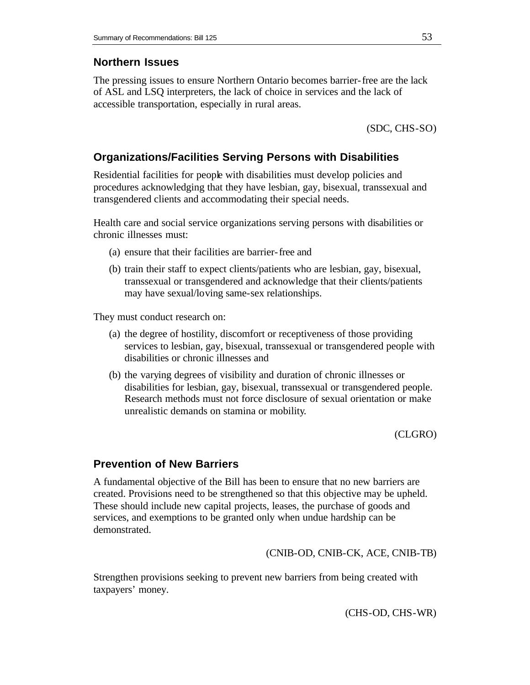# **Northern Issues**

The pressing issues to ensure Northern Ontario becomes barrier-free are the lack of ASL and LSQ interpreters, the lack of choice in services and the lack of accessible transportation, especially in rural areas.

(SDC, CHS-SO)

# **Organizations/Facilities Serving Persons with Disabilities**

Residential facilities for people with disabilities must develop policies and procedures acknowledging that they have lesbian, gay, bisexual, transsexual and transgendered clients and accommodating their special needs.

Health care and social service organizations serving persons with disabilities or chronic illnesses must:

- (a) ensure that their facilities are barrier-free and
- (b) train their staff to expect clients/patients who are lesbian, gay, bisexual, transsexual or transgendered and acknowledge that their clients/patients may have sexual/loving same-sex relationships.

They must conduct research on:

- (a) the degree of hostility, discomfort or receptiveness of those providing services to lesbian, gay, bisexual, transsexual or transgendered people with disabilities or chronic illnesses and
- (b) the varying degrees of visibility and duration of chronic illnesses or disabilities for lesbian, gay, bisexual, transsexual or transgendered people. Research methods must not force disclosure of sexual orientation or make unrealistic demands on stamina or mobility.

(CLGRO)

# **Prevention of New Barriers**

A fundamental objective of the Bill has been to ensure that no new barriers are created. Provisions need to be strengthened so that this objective may be upheld. These should include new capital projects, leases, the purchase of goods and services, and exemptions to be granted only when undue hardship can be demonstrated.

(CNIB-OD, CNIB-CK, ACE, CNIB-TB)

Strengthen provisions seeking to prevent new barriers from being created with taxpayers' money.

(CHS-OD, CHS-WR)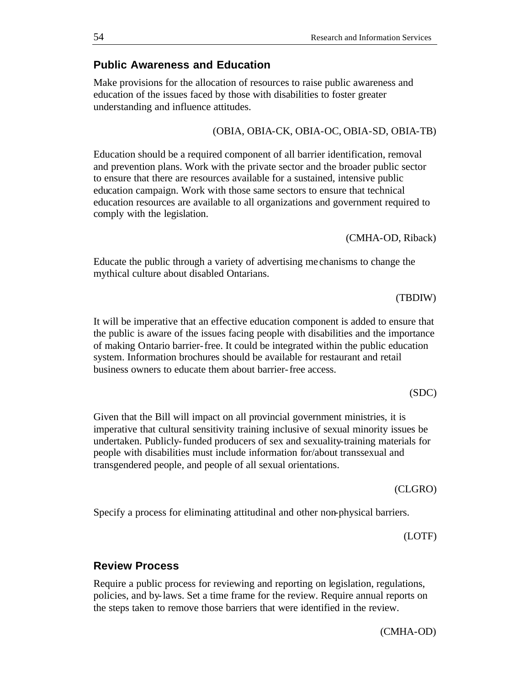# **Review Process**

Require a public process for reviewing and reporting on legislation, regulations, policies, and by-laws. Set a time frame for the review. Require annual reports on the steps taken to remove those barriers that were identified in the review.

Specify a process for eliminating attitudinal and other non-physical barriers.

Given that the Bill will impact on all provincial government ministries, it is imperative that cultural sensitivity training inclusive of sexual minority issues be undertaken. Publicly-funded producers of sex and sexuality-training materials for people with disabilities must include information for/about transsexual and transgendered people, and people of all sexual orientations.

of making Ontario barrier-free. It could be integrated within the public education system. Information brochures should be available for restaurant and retail business owners to educate them about barrier-free access. (SDC)

It will be imperative that an effective education component is added to ensure that the public is aware of the issues facing people with disabilities and the importance

Educate the public through a variety of advertising me chanisms to change the mythical culture about disabled Ontarians.

Education should be a required component of all barrier identification, removal and prevention plans. Work with the private sector and the broader public sector to ensure that there are resources available for a sustained, intensive public education campaign. Work with those same sectors to ensure that technical education resources are available to all organizations and government required to comply with the legislation.

Make provisions for the allocation of resources to raise public awareness and education of the issues faced by those with disabilities to foster greater understanding and influence attitudes.

**Public Awareness and Education**

#### (OBIA, OBIA-CK, OBIA-OC, OBIA-SD, OBIA-TB)

# (TBDIW)

(CMHA-OD, Riback)

(LOTF)

#### (CLGRO)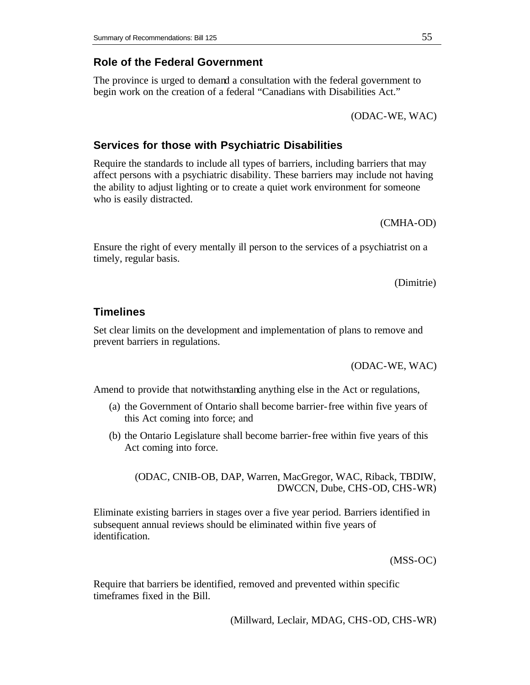## **Role of the Federal Government**

The province is urged to demand a consultation with the federal government to begin work on the creation of a federal "Canadians with Disabilities Act."

(ODAC-WE, WAC)

## **Services for those with Psychiatric Disabilities**

Require the standards to include all types of barriers, including barriers that may affect persons with a psychiatric disability. These barriers may include not having the ability to adjust lighting or to create a quiet work environment for someone who is easily distracted.

(CMHA-OD)

Ensure the right of every mentally ill person to the services of a psychiatrist on a timely, regular basis.

(Dimitrie)

#### **Timelines**

Set clear limits on the development and implementation of plans to remove and prevent barriers in regulations.

(ODAC-WE, WAC)

Amend to provide that notwithstanding anything else in the Act or regulations,

- (a) the Government of Ontario shall become barrier-free within five years of this Act coming into force; and
- (b) the Ontario Legislature shall become barrier-free within five years of this Act coming into force.

(ODAC, CNIB-OB, DAP, Warren, MacGregor, WAC, Riback, TBDIW, DWCCN, Dube, CHS-OD, CHS-WR)

Eliminate existing barriers in stages over a five year period. Barriers identified in subsequent annual reviews should be eliminated within five years of identification.

(MSS-OC)

Require that barriers be identified, removed and prevented within specific timeframes fixed in the Bill.

(Millward, Leclair, MDAG, CHS-OD, CHS-WR)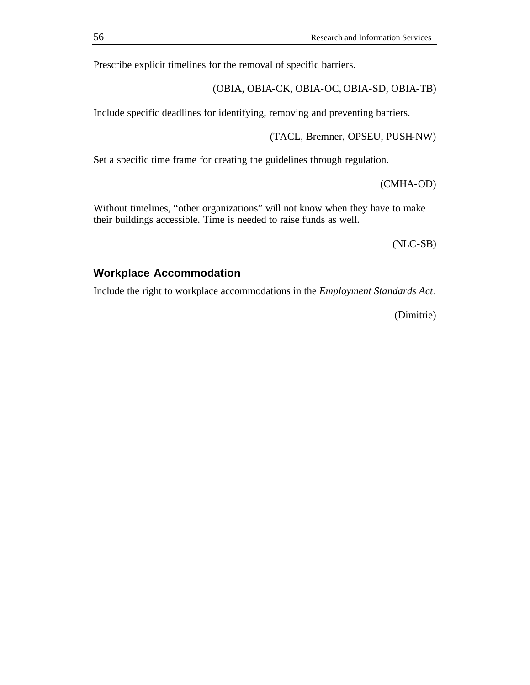Prescribe explicit timelines for the removal of specific barriers.

(OBIA, OBIA-CK, OBIA-OC, OBIA-SD, OBIA-TB)

Include specific deadlines for identifying, removing and preventing barriers.

(TACL, Bremner, OPSEU, PUSH-NW)

Set a specific time frame for creating the guidelines through regulation.

(CMHA-OD)

Without timelines, "other organizations" will not know when they have to make their buildings accessible. Time is needed to raise funds as well.

(NLC-SB)

# **Workplace Accommodation**

Include the right to workplace accommodations in the *Employment Standards Act*.

(Dimitrie)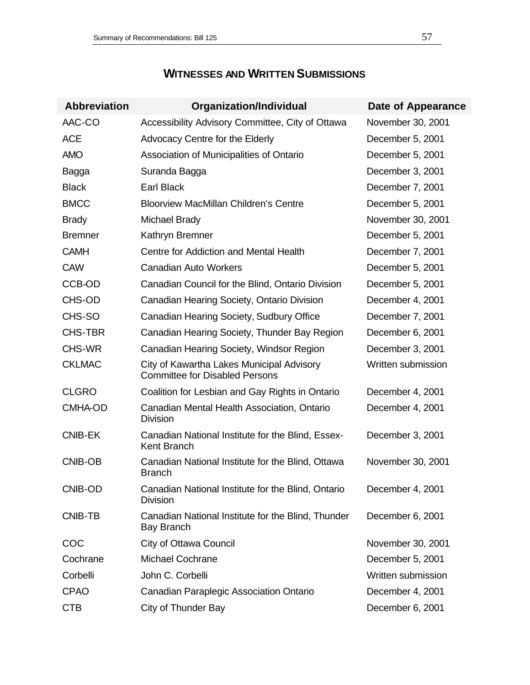| <b>Abbreviation</b> | <b>Organization/Individual</b>                                                     | Date of Appearance |
|---------------------|------------------------------------------------------------------------------------|--------------------|
| AAC-CO              | Accessibility Advisory Committee, City of Ottawa                                   | November 30, 2001  |
| <b>ACE</b>          | Advocacy Centre for the Elderly                                                    | December 5, 2001   |
| <b>AMO</b>          | Association of Municipalities of Ontario                                           | December 5, 2001   |
| Bagga               | Suranda Bagga                                                                      | December 3, 2001   |
| <b>Black</b>        | <b>Earl Black</b>                                                                  | December 7, 2001   |
| <b>BMCC</b>         | <b>Bloorview MacMillan Children's Centre</b>                                       | December 5, 2001   |
| <b>Brady</b>        | Michael Brady                                                                      | November 30, 2001  |
| <b>Bremner</b>      | Kathryn Bremner                                                                    | December 5, 2001   |
| <b>CAMH</b>         | Centre for Addiction and Mental Health                                             | December 7, 2001   |
| <b>CAW</b>          | <b>Canadian Auto Workers</b>                                                       | December 5, 2001   |
| CCB-OD              | Canadian Council for the Blind, Ontario Division                                   | December 5, 2001   |
| CHS-OD              | Canadian Hearing Society, Ontario Division                                         | December 4, 2001   |
| CHS-SO              | Canadian Hearing Society, Sudbury Office                                           | December 7, 2001   |
| <b>CHS-TBR</b>      | Canadian Hearing Society, Thunder Bay Region                                       | December 6, 2001   |
| <b>CHS-WR</b>       | Canadian Hearing Society, Windsor Region                                           | December 3, 2001   |
| <b>CKLMAC</b>       | City of Kawartha Lakes Municipal Advisory<br><b>Committee for Disabled Persons</b> | Written submission |
| <b>CLGRO</b>        | Coalition for Lesbian and Gay Rights in Ontario                                    | December 4, 2001   |
| <b>CMHA-OD</b>      | Canadian Mental Health Association, Ontario<br><b>Division</b>                     | December 4, 2001   |
| <b>CNIB-EK</b>      | Canadian National Institute for the Blind, Essex-<br><b>Kent Branch</b>            | December 3, 2001   |
| <b>CNIB-OB</b>      | Canadian National Institute for the Blind, Ottawa<br><b>Branch</b>                 | November 30, 2001  |
| CNIB-OD             | Canadian National Institute for the Blind, Ontario<br><b>Division</b>              | December 4, 2001   |
| <b>CNIB-TB</b>      | Canadian National Institute for the Blind, Thunder<br>Bay Branch                   | December 6, 2001   |
| COC                 | <b>City of Ottawa Council</b>                                                      | November 30, 2001  |
| Cochrane            | <b>Michael Cochrane</b>                                                            | December 5, 2001   |
| Corbelli            | John C. Corbelli                                                                   | Written submission |
| <b>CPAO</b>         | Canadian Paraplegic Association Ontario                                            | December 4, 2001   |
| <b>CTB</b>          | City of Thunder Bay                                                                | December 6, 2001   |

# **WITNESSES AND WRITTEN SUBMISSIONS**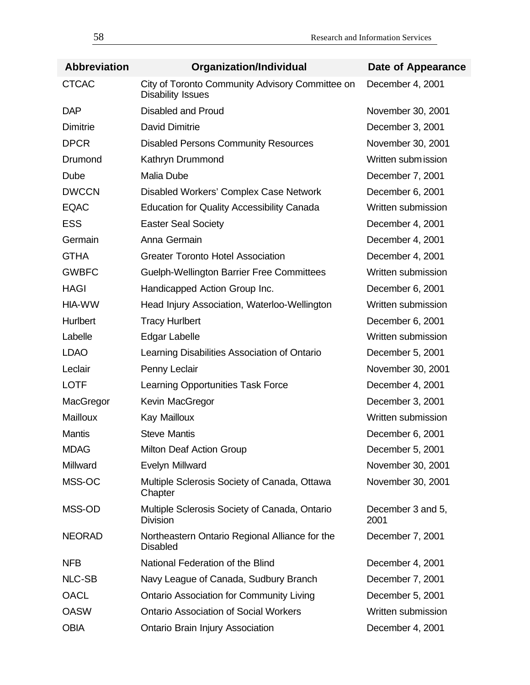| <b>Abbreviation</b> | Organization/Individual                                                     | Date of Appearance        |
|---------------------|-----------------------------------------------------------------------------|---------------------------|
| <b>CTCAC</b>        | City of Toronto Community Advisory Committee on<br><b>Disability Issues</b> | December 4, 2001          |
| <b>DAP</b>          | <b>Disabled and Proud</b>                                                   | November 30, 2001         |
| Dimitrie            | <b>David Dimitrie</b>                                                       | December 3, 2001          |
| <b>DPCR</b>         | <b>Disabled Persons Community Resources</b>                                 | November 30, 2001         |
| Drumond             | Kathryn Drummond                                                            | Written subm ission       |
| Dube                | <b>Malia Dube</b>                                                           | December 7, 2001          |
| <b>DWCCN</b>        | Disabled Workers' Complex Case Network                                      | December 6, 2001          |
| <b>EQAC</b>         | <b>Education for Quality Accessibility Canada</b>                           | Written submission        |
| <b>ESS</b>          | <b>Easter Seal Society</b>                                                  | December 4, 2001          |
| Germain             | Anna Germain                                                                | December 4, 2001          |
| <b>GTHA</b>         | <b>Greater Toronto Hotel Association</b>                                    | December 4, 2001          |
| <b>GWBFC</b>        | <b>Guelph-Wellington Barrier Free Committees</b>                            | Written submission        |
| <b>HAGI</b>         | Handicapped Action Group Inc.                                               | December 6, 2001          |
| HIA-WW              | Head Injury Association, Waterloo-Wellington                                | Written submission        |
| Hurlbert            | <b>Tracy Hurlbert</b>                                                       | December 6, 2001          |
| Labelle             | Edgar Labelle                                                               | Written submission        |
| <b>LDAO</b>         | Learning Disabilities Association of Ontario                                | December 5, 2001          |
| Leclair             | Penny Leclair                                                               | November 30, 2001         |
| <b>LOTF</b>         | Learning Opportunities Task Force                                           | December 4, 2001          |
| MacGregor           | Kevin MacGregor                                                             | December 3, 2001          |
| Mailloux            | Kay Mailloux                                                                | Written submission        |
| <b>Mantis</b>       | <b>Steve Mantis</b>                                                         | December 6, 2001          |
| <b>MDAG</b>         | Milton Deaf Action Group                                                    | December 5, 2001          |
| Millward            | <b>Evelyn Millward</b>                                                      | November 30, 2001         |
| MSS-OC              | Multiple Sclerosis Society of Canada, Ottawa<br>Chapter                     | November 30, 2001         |
| MSS-OD              | Multiple Sclerosis Society of Canada, Ontario<br>Division                   | December 3 and 5,<br>2001 |
| <b>NEORAD</b>       | Northeastern Ontario Regional Alliance for the<br><b>Disabled</b>           | December 7, 2001          |
| <b>NFB</b>          | National Federation of the Blind                                            | December 4, 2001          |
| <b>NLC-SB</b>       | Navy League of Canada, Sudbury Branch                                       | December 7, 2001          |
| <b>OACL</b>         | <b>Ontario Association for Community Living</b>                             | December 5, 2001          |
| <b>OASW</b>         | <b>Ontario Association of Social Workers</b>                                | Written submission        |
| <b>OBIA</b>         | Ontario Brain Injury Association                                            | December 4, 2001          |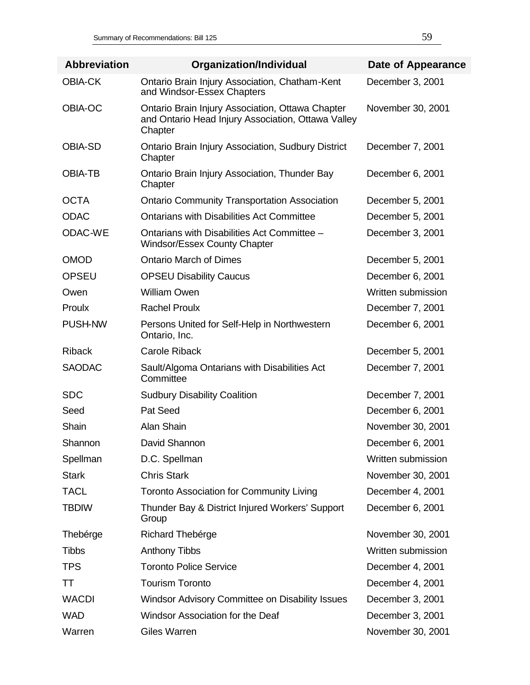| <b>Abbreviation</b> | <b>Organization/Individual</b>                                                                                    | Date of Appearance |
|---------------------|-------------------------------------------------------------------------------------------------------------------|--------------------|
| <b>OBIA-CK</b>      | Ontario Brain Injury Association, Chatham-Kent<br>and Windsor-Essex Chapters                                      | December 3, 2001   |
| OBIA-OC             | Ontario Brain Injury Association, Ottawa Chapter<br>and Ontario Head Injury Association, Ottawa Valley<br>Chapter | November 30, 2001  |
| <b>OBIA-SD</b>      | <b>Ontario Brain Injury Association, Sudbury District</b><br>Chapter                                              | December 7, 2001   |
| <b>OBIA-TB</b>      | Ontario Brain Injury Association, Thunder Bay<br>Chapter                                                          | December 6, 2001   |
| <b>OCTA</b>         | <b>Ontario Community Transportation Association</b>                                                               | December 5, 2001   |
| <b>ODAC</b>         | <b>Ontarians with Disabilities Act Committee</b>                                                                  | December 5, 2001   |
| ODAC-WE             | Ontarians with Disabilities Act Committee -<br><b>Windsor/Essex County Chapter</b>                                | December 3, 2001   |
| <b>OMOD</b>         | <b>Ontario March of Dimes</b>                                                                                     | December 5, 2001   |
| <b>OPSEU</b>        | <b>OPSEU Disability Caucus</b>                                                                                    | December 6, 2001   |
| Owen                | <b>William Owen</b>                                                                                               | Written submission |
| Proulx              | <b>Rachel Proulx</b>                                                                                              | December 7, 2001   |
| <b>PUSH-NW</b>      | Persons United for Self-Help in Northwestern<br>Ontario, Inc.                                                     | December 6, 2001   |
| <b>Riback</b>       | <b>Carole Riback</b>                                                                                              | December 5, 2001   |
| <b>SAODAC</b>       | Sault/Algoma Ontarians with Disabilities Act<br>Committee                                                         | December 7, 2001   |
| <b>SDC</b>          | <b>Sudbury Disability Coalition</b>                                                                               | December 7, 2001   |
| Seed                | Pat Seed                                                                                                          | December 6, 2001   |
| Shain               | Alan Shain                                                                                                        | November 30, 2001  |
| Shannon             | David Shannon                                                                                                     | December 6, 2001   |
| Spellman            | D.C. Spellman                                                                                                     | Written submission |
| <b>Stark</b>        | <b>Chris Stark</b>                                                                                                | November 30, 2001  |
| <b>TACL</b>         | <b>Toronto Association for Community Living</b>                                                                   | December 4, 2001   |
| <b>TBDIW</b>        | Thunder Bay & District Injured Workers' Support<br>Group                                                          | December 6, 2001   |
| Thebérge            | Richard Thebérge                                                                                                  | November 30, 2001  |
| <b>Tibbs</b>        | <b>Anthony Tibbs</b>                                                                                              | Written submission |
| <b>TPS</b>          | <b>Toronto Police Service</b>                                                                                     | December 4, 2001   |
| TΤ                  | <b>Tourism Toronto</b>                                                                                            | December 4, 2001   |
| <b>WACDI</b>        | Windsor Advisory Committee on Disability Issues                                                                   | December 3, 2001   |
| <b>WAD</b>          | Windsor Association for the Deaf                                                                                  | December 3, 2001   |
| Warren              | <b>Giles Warren</b>                                                                                               | November 30, 2001  |